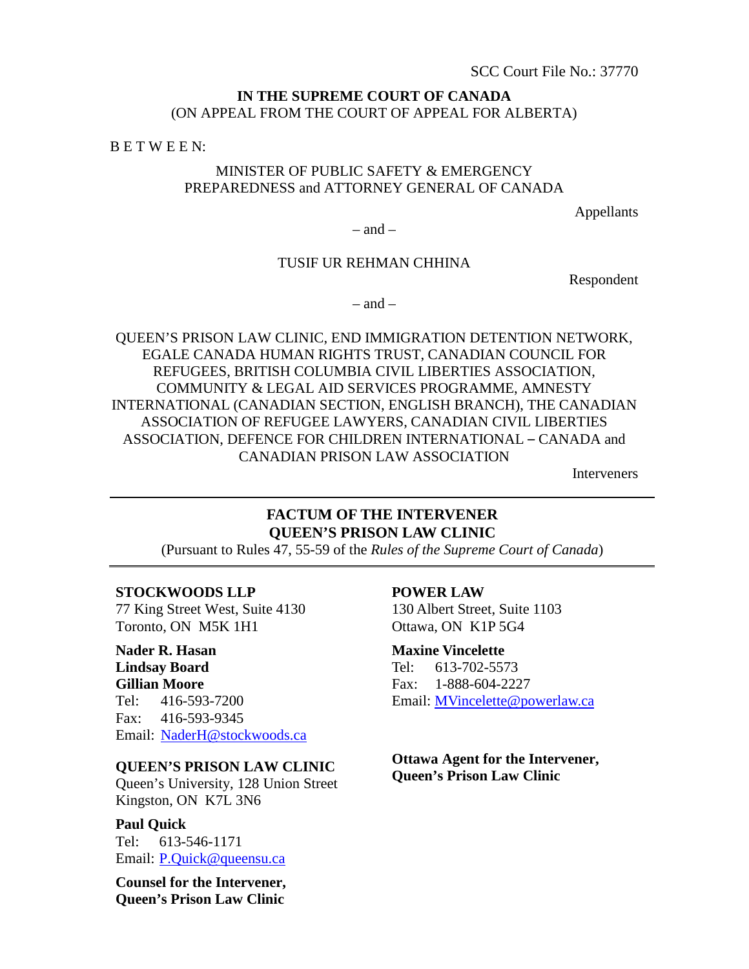# **IN THE SUPREME COURT OF CANADA** (ON APPEAL FROM THE COURT OF APPEAL FOR ALBERTA)

B E T W E E N:

# MINISTER OF PUBLIC SAFETY & EMERGENCY PREPAREDNESS and ATTORNEY GENERAL OF CANADA

Appellants

 $-$  and  $-$ 

# TUSIF UR REHMAN CHHINA

Respondent

 $-$  and  $-$ 

QUEEN'S PRISON LAW CLINIC, END IMMIGRATION DETENTION NETWORK, EGALE CANADA HUMAN RIGHTS TRUST, CANADIAN COUNCIL FOR REFUGEES, BRITISH COLUMBIA CIVIL LIBERTIES ASSOCIATION, COMMUNITY & LEGAL AID SERVICES PROGRAMME, AMNESTY INTERNATIONAL (CANADIAN SECTION, ENGLISH BRANCH), THE CANADIAN ASSOCIATION OF REFUGEE LAWYERS, CANADIAN CIVIL LIBERTIES ASSOCIATION, DEFENCE FOR CHILDREN INTERNATIONAL – CANADA and CANADIAN PRISON LAW ASSOCIATION

Interveners

# **FACTUM OF THE INTERVENER QUEEN'S PRISON LAW CLINIC**

(Pursuant to Rules 47, 55-59 of the *Rules of the Supreme Court of Canada*)

## **STOCKWOODS LLP**

77 King Street West, Suite 4130 Toronto, ON M5K 1H1

**Nader R. Hasan Lindsay Board Gillian Moore** Tel: 416-593-7200 Fax: 416-593-9345 Email: NaderH@stockwoods.ca

**QUEEN'S PRISON LAW CLINIC**

Queen's University, 128 Union Street Kingston, ON K7L 3N6

**Paul Quick** Tel: 613-546-1171 Email: P.Quick@queensu.ca

**Counsel for the Intervener, Queen's Prison Law Clinic**

#### **POWER LAW**

130 Albert Street, Suite 1103 Ottawa, ON K1P 5G4

**Maxine Vincelette** Tel: 613-702-5573 Fax: 1-888-604-2227 Email: MVincelette@powerlaw.ca

**Ottawa Agent for the Intervener, Queen's Prison Law Clinic**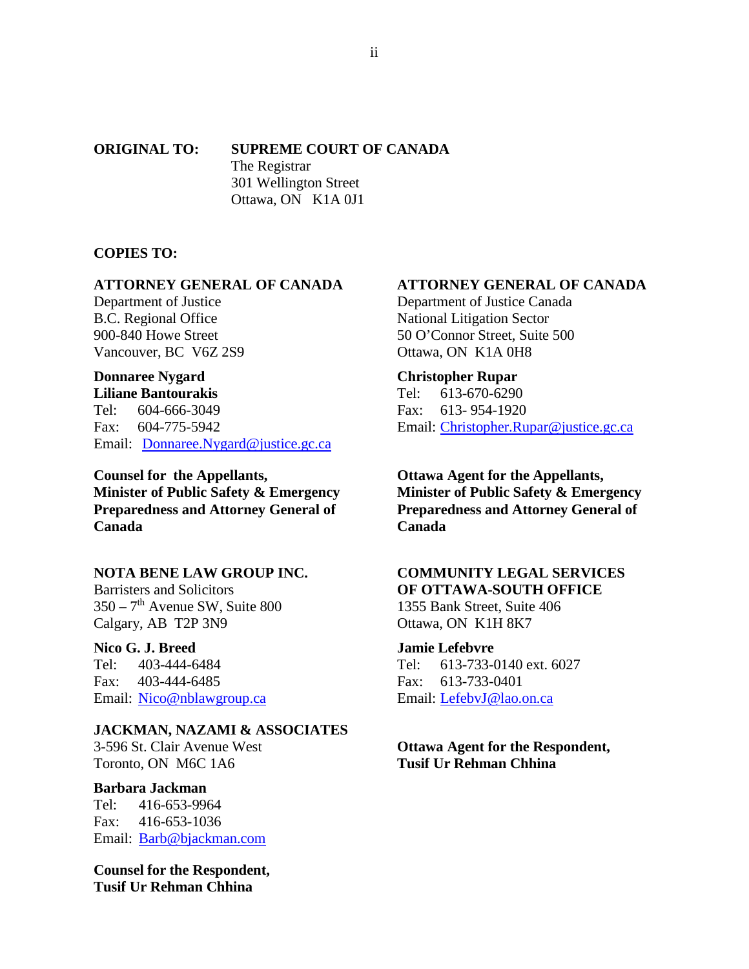## **ORIGINAL TO: SUPREME COURT OF CANADA** The Registrar 301 Wellington Street Ottawa, ON K1A 0J1

## **COPIES TO:**

## **ATTORNEY GENERAL OF CANADA**

Department of Justice B.C. Regional Office 900-840 Howe Street Vancouver, BC V6Z 2S9

# **Donnaree Nygard**

**Liliane Bantourakis** Tel: 604-666-3049 Fax: 604-775-5942 Email: Donnaree.Nygard@justice.gc.ca

**Counsel for the Appellants, Minister of Public Safety & Emergency Preparedness and Attorney General of Canada**

# **NOTA BENE LAW GROUP INC.**

Barristers and Solicitors  $350 - 7<sup>th</sup>$  Avenue SW, Suite 800 Calgary, AB T2P 3N9

## **Nico G. J. Breed**

Tel: 403-444-6484 Fax: 403-444-6485 Email: Nico@nblawgroup.ca

## **JACKMAN, NAZAMI & ASSOCIATES**

3-596 St. Clair Avenue West Toronto, ON M6C 1A6

## **Barbara Jackman**

Tel: 416-653-9964 Fax: 416-653-1036 Email: Barb@bjackman.com

**Counsel for the Respondent, Tusif Ur Rehman Chhina**

## **ATTORNEY GENERAL OF CANADA**

Department of Justice Canada National Litigation Sector 50 O'Connor Street, Suite 500 Ottawa, ON K1A 0H8

## **Christopher Rupar**

Tel: 613-670-6290 Fax: 613- 954-1920 Email: Christopher.Rupar@justice.gc.ca

**Ottawa Agent for the Appellants, Minister of Public Safety & Emergency Preparedness and Attorney General of Canada**

# **COMMUNITY LEGAL SERVICES OF OTTAWA-SOUTH OFFICE**

1355 Bank Street, Suite 406 Ottawa, ON K1H 8K7

## **Jamie Lefebvre**

Tel: 613-733-0140 ext. 6027 Fax: 613-733-0401 Email: LefebvJ@lao.on.ca

# **Ottawa Agent for the Respondent, Tusif Ur Rehman Chhina**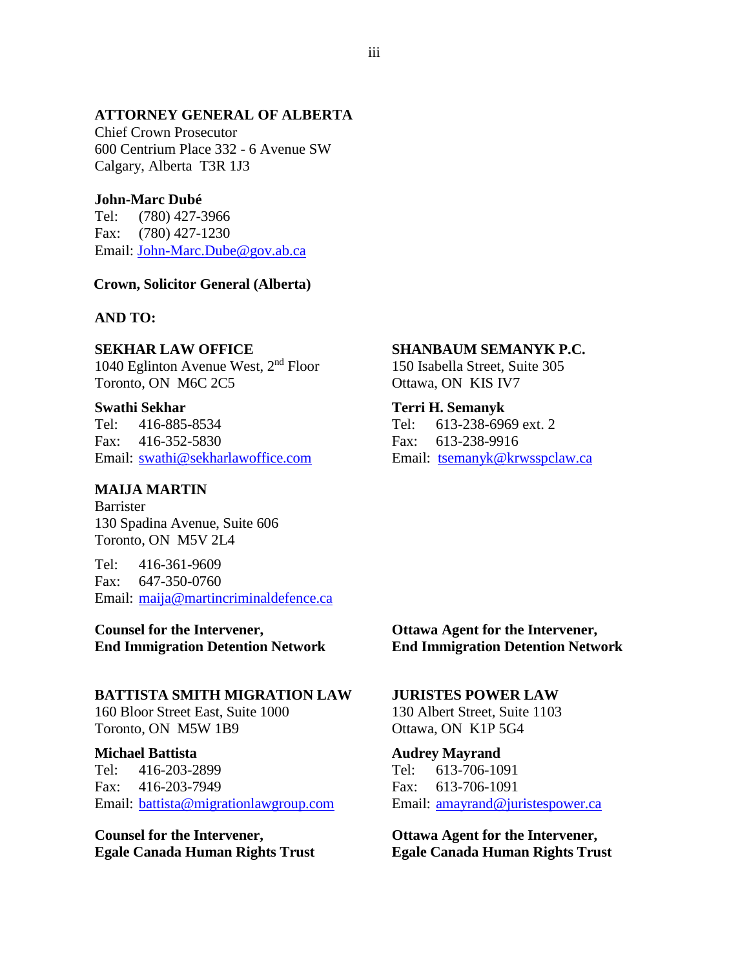# **ATTORNEY GENERAL OF ALBERTA**

Chief Crown Prosecutor 600 Centrium Place 332 - 6 Avenue SW Calgary, Alberta T3R 1J3

## **John-Marc Dubé**

Tel: (780) 427-3966 Fax: (780) 427-1230 Email: John-Marc.Dube@gov.ab.ca

### **Crown, Solicitor General (Alberta)**

## **AND TO:**

## **SEKHAR LAW OFFICE**

1040 Eglinton Avenue West, 2nd Floor Toronto, ON M6C 2C5

#### **Swathi Sekhar**

Tel: 416-885-8534 Fax: 416-352-5830 Email: swathi@sekharlawoffice.com

## **MAIJA MARTIN**

Barrister 130 Spadina Avenue, Suite 606 Toronto, ON M5V 2L4

Tel: 416-361-9609 Fax: 647-350-0760 Email: maija@martincriminaldefence.ca

**Counsel for the Intervener, End Immigration Detention Network**

#### **BATTISTA SMITH MIGRATION LAW**

160 Bloor Street East, Suite 1000 Toronto, ON M5W 1B9

#### **Michael Battista**

Tel: 416-203-2899 Fax: 416-203-7949 Email: battista@migrationlawgroup.com

**Counsel for the Intervener, Egale Canada Human Rights Trust**

### **SHANBAUM SEMANYK P.C.**

150 Isabella Street, Suite 305 Ottawa, ON KIS IV7

#### **Terri H. Semanyk**

Tel: 613-238-6969 ext. 2 Fax: 613-238-9916 Email: tsemanyk@krwsspclaw.ca

## **Ottawa Agent for the Intervener, End Immigration Detention Network**

#### **JURISTES POWER LAW**

130 Albert Street, Suite 1103 Ottawa, ON K1P 5G4

# **Audrey Mayrand**

Tel: 613-706-1091 Fax: 613-706-1091 Email: amayrand@juristespower.ca

**Ottawa Agent for the Intervener, Egale Canada Human Rights Trust**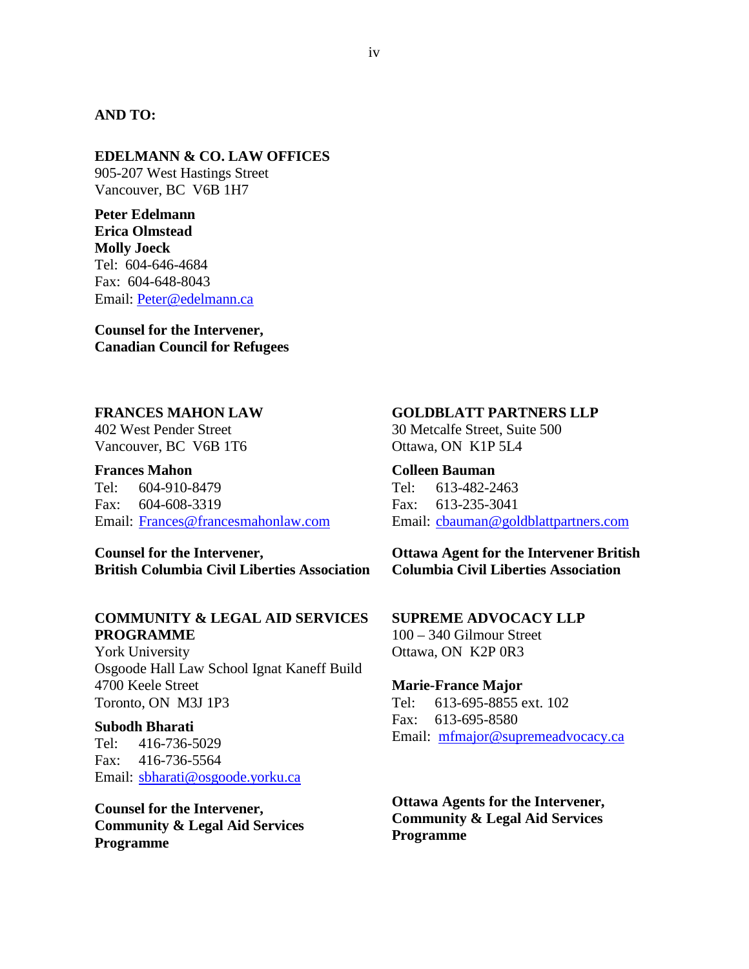# **AND TO:**

## **EDELMANN & CO. LAW OFFICES**

905-207 West Hastings Street Vancouver, BC V6B 1H7

**Peter Edelmann Erica Olmstead Molly Joeck**  Tel: 604-646-4684 Fax: 604-648-8043 Email: Peter@edelmann.ca

**Counsel for the Intervener, Canadian Council for Refugees**

## **FRANCES MAHON LAW**

402 West Pender Street Vancouver, BC V6B 1T6

**Frances Mahon** Tel: 604-910-8479 Fax: 604-608-3319 Email: Frances@francesmahonlaw.com

**Counsel for the Intervener, British Columbia Civil Liberties Association**

# **COMMUNITY & LEGAL AID SERVICES PROGRAMME**

York University Osgoode Hall Law School Ignat Kaneff Build 4700 Keele Street Toronto, ON M3J 1P3

#### **Subodh Bharati**

Tel: 416-736-5029 Fax: 416-736-5564 Email: sbharati@osgoode.yorku.ca

**Counsel for the Intervener, Community & Legal Aid Services Programme**

# **GOLDBLATT PARTNERS LLP**

30 Metcalfe Street, Suite 500 Ottawa, ON K1P 5L4

## **Colleen Bauman**

Tel: 613-482-2463 Fax: 613-235-3041 Email: cbauman@goldblattpartners.com

**Ottawa Agent for the Intervener British Columbia Civil Liberties Association**

**SUPREME ADVOCACY LLP** 100 – 340 Gilmour Street Ottawa, ON K2P 0R3

### **Marie-France Major**

Tel: 613-695-8855 ext. 102 Fax: 613-695-8580 Email: mfmajor@supremeadvocacy.ca

**Ottawa Agents for the Intervener, Community & Legal Aid Services Programme**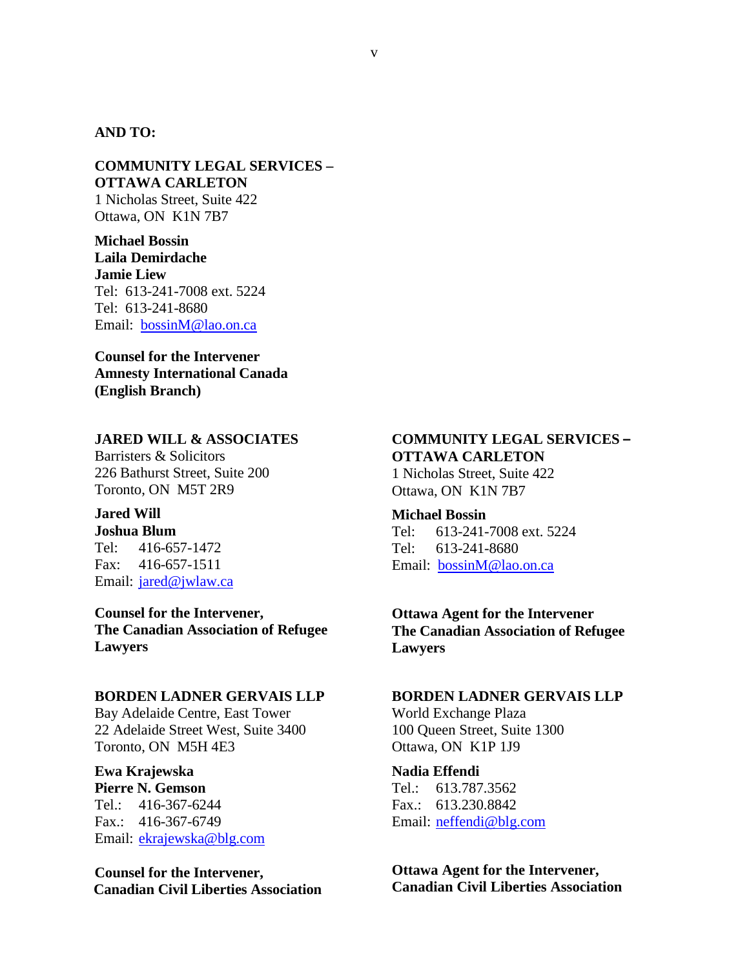## **AND TO:**

## **COMMUNITY LEGAL SERVICES – OTTAWA CARLETON** 1 Nicholas Street, Suite 422 Ottawa, ON K1N 7B7

**Michael Bossin Laila Demirdache Jamie Liew** Tel: 613-241-7008 ext. 5224 Tel: 613-241-8680 Email: bossinM@lao.on.ca

**Counsel for the Intervener Amnesty International Canada (English Branch)** 

# **JARED WILL & ASSOCIATES**

Barristers & Solicitors 226 Bathurst Street, Suite 200 Toronto, ON M5T 2R9

# **Jared Will**

**Joshua Blum**  Tel: 416-657-1472 Fax: 416-657-1511 Email: **jared@jwlaw.ca** 

**Counsel for the Intervener, The Canadian Association of Refugee Lawyers**

### **BORDEN LADNER GERVAIS LLP**

Bay Adelaide Centre, East Tower 22 Adelaide Street West, Suite 3400 Toronto, ON M5H 4E3

# **Ewa Krajewska Pierre N. Gemson** Tel.: 416-367-6244

Fax.: 416-367-6749 Email: ekrajewska@blg.com

**Counsel for the Intervener, Canadian Civil Liberties Association**

# **COMMUNITY LEGAL SERVICES – OTTAWA CARLETON**

1 Nicholas Street, Suite 422 Ottawa, ON K1N 7B7

## **Michael Bossin**

Tel: 613-241-7008 ext. 5224 Tel: 613-241-8680 Email: bossinM@lao.on.ca

# **Ottawa Agent for the Intervener The Canadian Association of Refugee Lawyers**

## **BORDEN LADNER GERVAIS LLP**

World Exchange Plaza 100 Queen Street, Suite 1300 Ottawa, ON K1P 1J9

#### **Nadia Effendi**

Tel.: 613.787.3562 Fax.: 613.230.8842 Email: neffendi@blg.com

# **Ottawa Agent for the Intervener, Canadian Civil Liberties Association**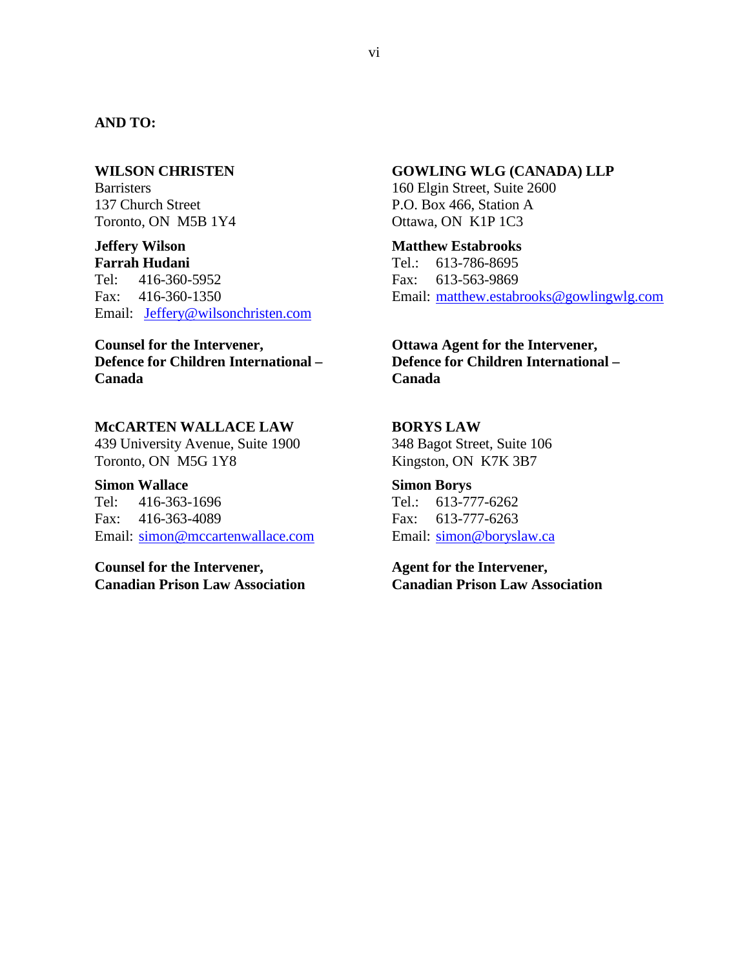# **AND TO:**

#### **WILSON CHRISTEN**

**Barristers** 137 Church Street Toronto, ON M5B 1Y4

**Jeffery Wilson Farrah Hudani** Tel: 416-360-5952 Fax: 416-360-1350 Email: Jeffery@wilsonchristen.com

# **Counsel for the Intervener, Defence for Children International – Canada**

## **McCARTEN WALLACE LAW**

439 University Avenue, Suite 1900 Toronto, ON M5G 1Y8

**Simon Wallace** Tel: 416-363-1696 Fax: 416-363-4089 Email: simon@mccartenwallace.com

**Counsel for the Intervener, Canadian Prison Law Association** **GOWLING WLG (CANADA) LLP**

160 Elgin Street, Suite 2600 P.O. Box 466, Station A Ottawa, ON K1P 1C3

**Matthew Estabrooks** Tel.: 613-786-8695 Fax: 613-563-9869 Email: matthew.estabrooks@gowlingwlg.com

**Ottawa Agent for the Intervener, Defence for Children International – Canada**

### **BORYS LAW**

348 Bagot Street, Suite 106 Kingston, ON K7K 3B7

**Simon Borys**  Tel.: 613-777-6262 Fax: 613-777-6263 Email: simon@boryslaw.ca

**Agent for the Intervener, Canadian Prison Law Association**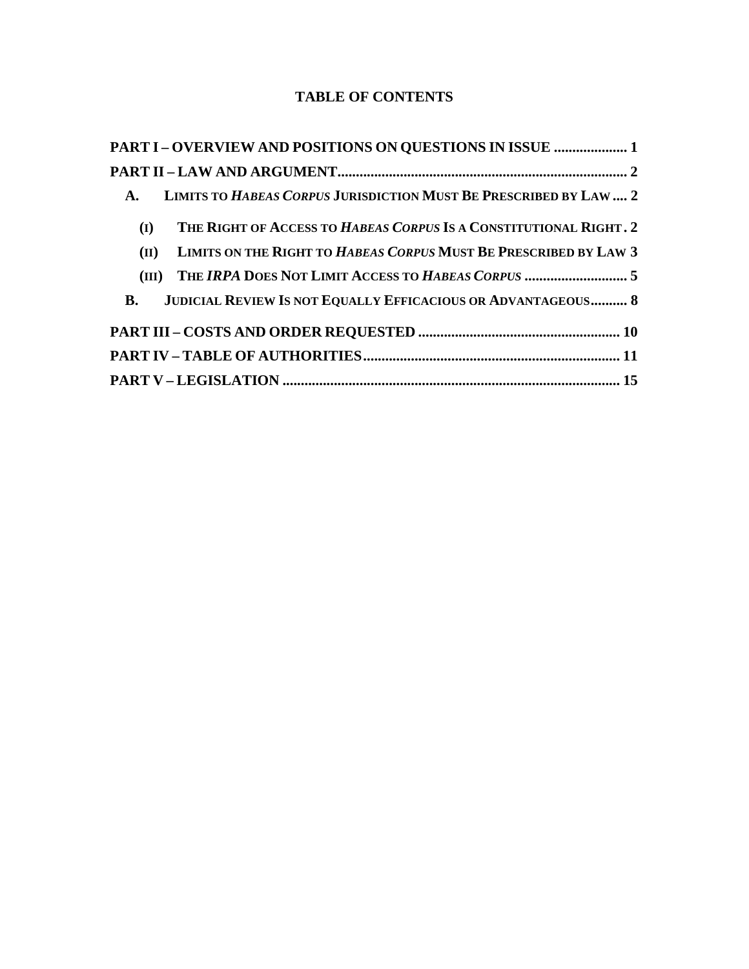# **TABLE OF CONTENTS**

| <b>PART I-OVERVIEW AND POSITIONS ON QUESTIONS IN ISSUE  1</b>                       |
|-------------------------------------------------------------------------------------|
|                                                                                     |
| LIMITS TO HABEAS CORPUS JURISDICTION MUST BE PRESCRIBED BY LAW  2<br>$\mathbf{A}$ . |
| THE RIGHT OF ACCESS TO HABEAS CORPUS IS A CONSTITUTIONAL RIGHT. 2<br>(I)            |
| LIMITS ON THE RIGHT TO HABEAS CORPUS MUST BE PRESCRIBED BY LAW 3<br>(II)            |
| THE IRPA DOES NOT LIMIT ACCESS TO HABEAS CORPUS 5<br>(III)                          |
| <b>JUDICIAL REVIEW IS NOT EQUALLY EFFICACIOUS OR ADVANTAGEOUS 8</b><br><b>B.</b>    |
|                                                                                     |
|                                                                                     |
|                                                                                     |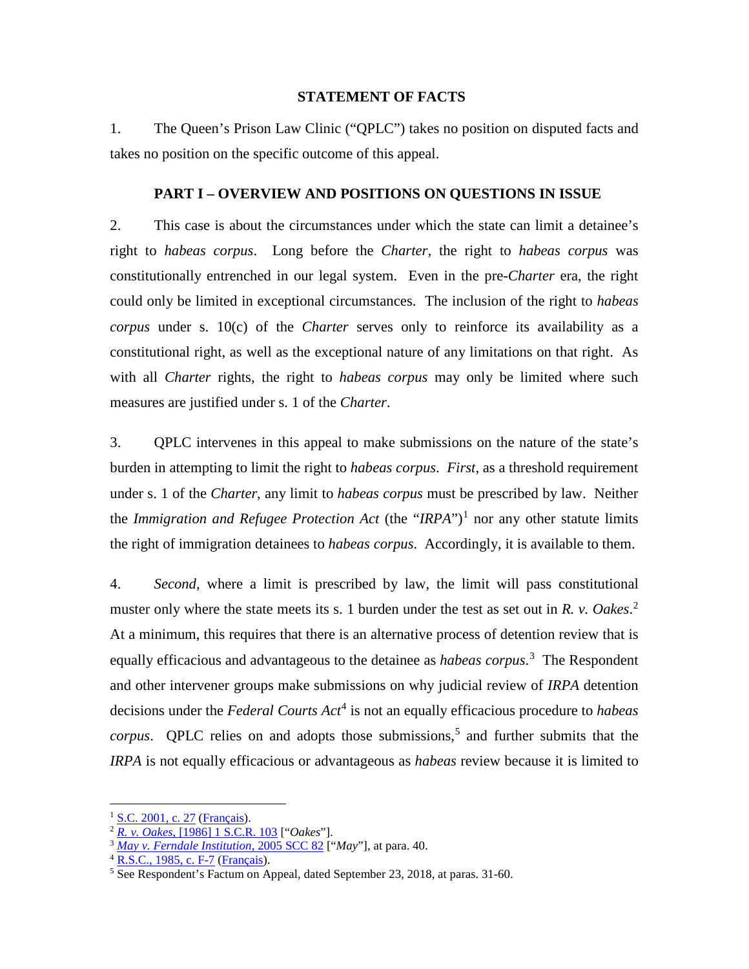## **STATEMENT OF FACTS**

1. The Queen's Prison Law Clinic ("QPLC") takes no position on disputed facts and takes no position on the specific outcome of this appeal.

## **PART I – OVERVIEW AND POSITIONS ON QUESTIONS IN ISSUE**

2. This case is about the circumstances under which the state can limit a detainee's right to *habeas corpus*. Long before the *Charter*, the right to *habeas corpus* was constitutionally entrenched in our legal system. Even in the pre-*Charter* era, the right could only be limited in exceptional circumstances. The inclusion of the right to *habeas corpus* under s. 10(c) of the *Charter* serves only to reinforce its availability as a constitutional right, as well as the exceptional nature of any limitations on that right. As with all *Charter* rights, the right to *habeas corpus* may only be limited where such measures are justified under s. 1 of the *Charter*.

3. QPLC intervenes in this appeal to make submissions on the nature of the state's burden in attempting to limit the right to *habeas corpus*. *First*, as a threshold requirement under s. 1 of the *Charter*, any limit to *habeas corpus* must be prescribed by law. Neither the *Immigration and Refugee Protection Act* (the "*IRPA*")<sup>1</sup> nor any other statute limits the right of immigration detainees to *habeas corpus*. Accordingly, it is available to them.

4. *Second*, where a limit is prescribed by law, the limit will pass constitutional muster only where the state meets its s. 1 burden under the test as set out in *R. v. Oakes*. 2 At a minimum, this requires that there is an alternative process of detention review that is equally efficacious and advantageous to the detainee as *habeas corpus*. 3 The Respondent and other intervener groups make submissions on why judicial review of *IRPA* detention decisions under the *Federal Courts Act*<sup>4</sup> is not an equally efficacious procedure to *habeas corpus*. QPLC relies on and adopts those submissions,<sup>5</sup> and further submits that the *IRPA* is not equally efficacious or advantageous as *habeas* review because it is limited to

<sup>&</sup>lt;sup>1</sup> S.C. 2001, c. 27 (Français).

<sup>2</sup> *R. v. Oakes*, [1986] 1 S.C.R. 103 ["*Oakes*"].

<sup>3</sup> *May v. Ferndale Institution*, 2005 SCC 82 ["*May*"], at para. 40.

<sup>&</sup>lt;sup>4</sup> R.S.C., 1985, c. F-7 (Français).

<sup>&</sup>lt;sup>5</sup> See Respondent's Factum on Appeal, dated September 23, 2018, at paras. 31-60.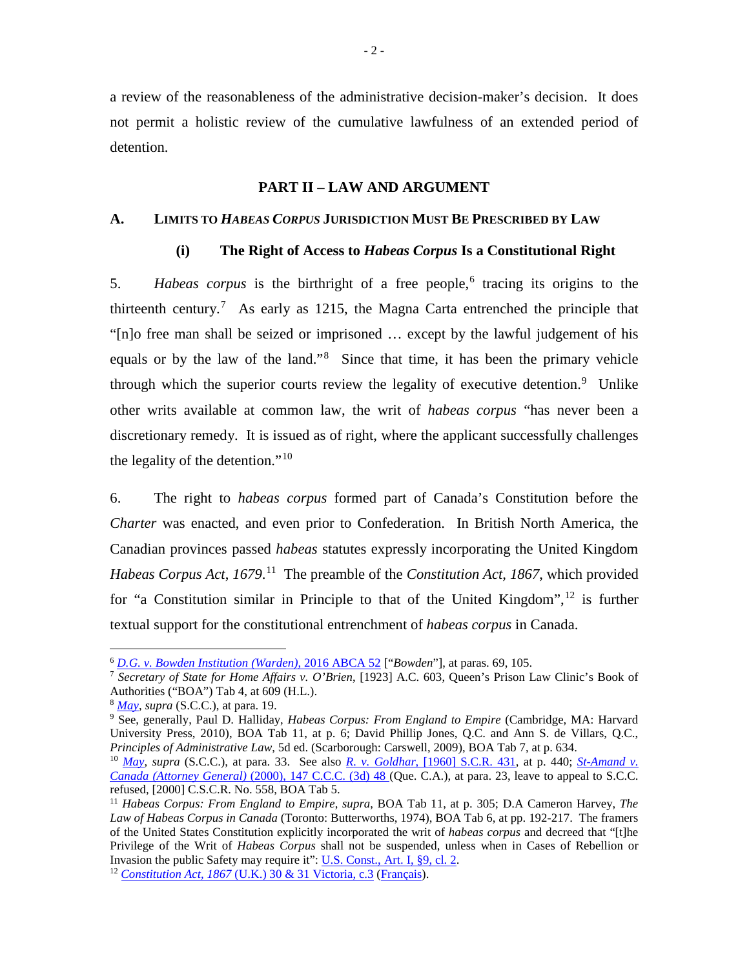a review of the reasonableness of the administrative decision-maker's decision. It does not permit a holistic review of the cumulative lawfulness of an extended period of detention.

## **PART II – LAW AND ARGUMENT**

### **A. LIMITS TO** *HABEAS CORPUS* **JURISDICTION MUST BE PRESCRIBED BY LAW**

## **(i) The Right of Access to** *Habeas Corpus* **Is a Constitutional Right**

5. *Habeas corpus* is the birthright of a free people, <sup>6</sup> tracing its origins to the thirteenth century.<sup>7</sup> As early as 1215, the Magna Carta entrenched the principle that "[n]o free man shall be seized or imprisoned … except by the lawful judgement of his equals or by the law of the land."<sup>8</sup> Since that time, it has been the primary vehicle through which the superior courts review the legality of executive detention.<sup>9</sup> Unlike other writs available at common law, the writ of *habeas corpus* "has never been a discretionary remedy. It is issued as of right, where the applicant successfully challenges the legality of the detention."<sup>10</sup>

6. The right to *habeas corpus* formed part of Canada's Constitution before the *Charter* was enacted, and even prior to Confederation. In British North America, the Canadian provinces passed *habeas* statutes expressly incorporating the United Kingdom *Habeas Corpus Act*, *1679*. 11 The preamble of the *Constitution Act, 1867*, which provided for "a Constitution similar in Principle to that of the United Kingdom",  $^{12}$  is further textual support for the constitutional entrenchment of *habeas corpus* in Canada.

<sup>6</sup> *D.G. v. Bowden Institution (Warden)*, 2016 ABCA 52 ["*Bowden*"], at paras. 69, 105.

<sup>7</sup> *Secretary of State for Home Affairs v. O'Brien*, [1923] A.C. 603, Queen's Prison Law Clinic's Book of Authorities ("BOA") Tab 4, at 609 (H.L.).

<sup>8</sup> *May*, *supra* (S.C.C.), at para. 19.

<sup>9</sup> See, generally, Paul D. Halliday, *Habeas Corpus: From England to Empire* (Cambridge, MA: Harvard University Press, 2010), BOA Tab 11, at p. 6; David Phillip Jones, Q.C. and Ann S. de Villars, Q.C., *Principles of Administrative Law*, 5d ed. (Scarborough: Carswell, 2009), BOA Tab 7, at p. 634.

 $10$  May, supra (S.C.C.), at para. 33. See also R. v. Goldhar, [1960] S.C.R. 431, at p. 440; St-Amand v. *Canada (Attorney General)* (2000), 147 C.C.C. (3d) 48 (Que. C.A.), at para. 23, leave to appeal to S.C.C. refused, [2000] C.S.C.R. No. 558, BOA Tab 5.

<sup>11</sup> *Habeas Corpus: From England to Empire*, *supra*, BOA Tab 11, at p. 305; D.A Cameron Harvey, *The Law of Habeas Corpus in Canada* (Toronto: Butterworths, 1974), BOA Tab 6, at pp. 192-217. The framers of the United States Constitution explicitly incorporated the writ of *habeas corpus* and decreed that "[t]he Privilege of the Writ of *Habeas Corpus* shall not be suspended, unless when in Cases of Rebellion or Invasion the public Safety may require it": <u>U.S. Const., Art. I, §9, cl. 2</u>. <sup>12</sup> *Constitution Act, 1867* (U.K.) 30 & 31 Victoria, c.3 (Français).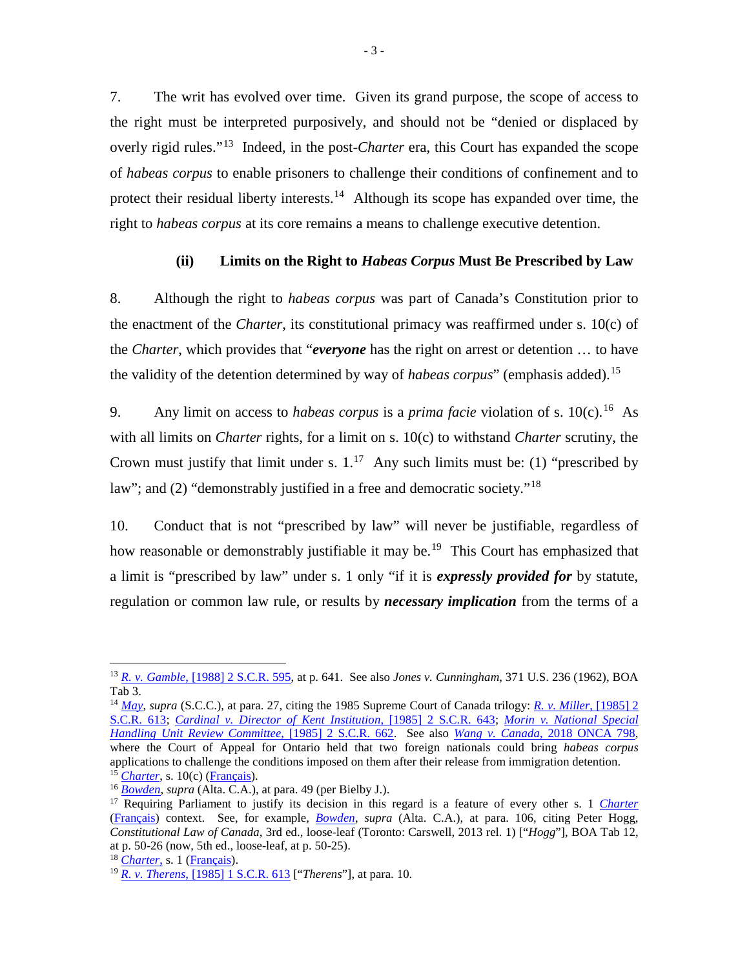7. The writ has evolved over time. Given its grand purpose, the scope of access to the right must be interpreted purposively, and should not be "denied or displaced by overly rigid rules."13 Indeed, in the post-*Charter* era, this Court has expanded the scope of *habeas corpus* to enable prisoners to challenge their conditions of confinement and to protect their residual liberty interests.<sup>14</sup> Although its scope has expanded over time, the right to *habeas corpus* at its core remains a means to challenge executive detention.

## **(ii) Limits on the Right to** *Habeas Corpus* **Must Be Prescribed by Law**

8. Although the right to *habeas corpus* was part of Canada's Constitution prior to the enactment of the *Charter*, its constitutional primacy was reaffirmed under s. 10(c) of the *Charter*, which provides that "*everyone* has the right on arrest or detention … to have the validity of the detention determined by way of *habeas corpus*" (emphasis added).15

9. Any limit on access to *habeas corpus* is a *prima facie* violation of s.  $10(c)$ .<sup>16</sup> As with all limits on *Charter* rights, for a limit on s. 10(c) to withstand *Charter* scrutiny, the Crown must justify that limit under s.  $1.^{17}$  Any such limits must be: (1) "prescribed by law"; and (2) "demonstrably justified in a free and democratic society."<sup>18</sup>

10. Conduct that is not "prescribed by law" will never be justifiable, regardless of how reasonable or demonstrably justifiable it may be.<sup>19</sup> This Court has emphasized that a limit is "prescribed by law" under s. 1 only "if it is *expressly provided for* by statute, regulation or common law rule, or results by *necessary implication* from the terms of a

<sup>13</sup> *R. v. Gamble*, [1988] 2 S.C.R. 595, at p. 641. See also *Jones v. Cunningham*, 371 U.S. 236 (1962), BOA Tab 3.

<sup>14</sup> *May*, *supra* (S.C.C.), at para. 27, citing the 1985 Supreme Court of Canada trilogy: *R. v. Miller*, [1985] 2 S.C.R. 613; *Cardinal v. Director of Kent Institution*, [1985] 2 S.C.R. 643; *Morin v. National Special Handling Unit Review Committee*, [1985] 2 S.C.R. 662. See also *Wang v. Canada*, 2018 ONCA 798, where the Court of Appeal for Ontario held that two foreign nationals could bring *habeas corpus* applications to challenge the conditions imposed on them after their release from immigration detention.  $15$  *Charter*, s. 10(c) (Français).

<sup>16</sup> *Bowden*, *supra* (Alta. C.A.), at para. 49 (per Bielby J.).

<sup>17</sup> Requiring Parliament to justify its decision in this regard is a feature of every other s. 1 *Charter* (Français) context. See, for example, *Bowden*, *supra* (Alta. C.A.), at para. 106, citing Peter Hogg, *Constitutional Law of Canada*, 3rd ed., loose-leaf (Toronto: Carswell, 2013 rel. 1) ["*Hogg*"], BOA Tab 12, at p. 50-26 (now, 5th ed., loose-leaf, at p. 50-25).

<sup>&</sup>lt;sup>18</sup> *Charter*, s. 1 (Français).

<sup>19</sup> *R. v. Therens*, [1985] 1 S.C.R. 613 ["*Therens*"], at para. 10.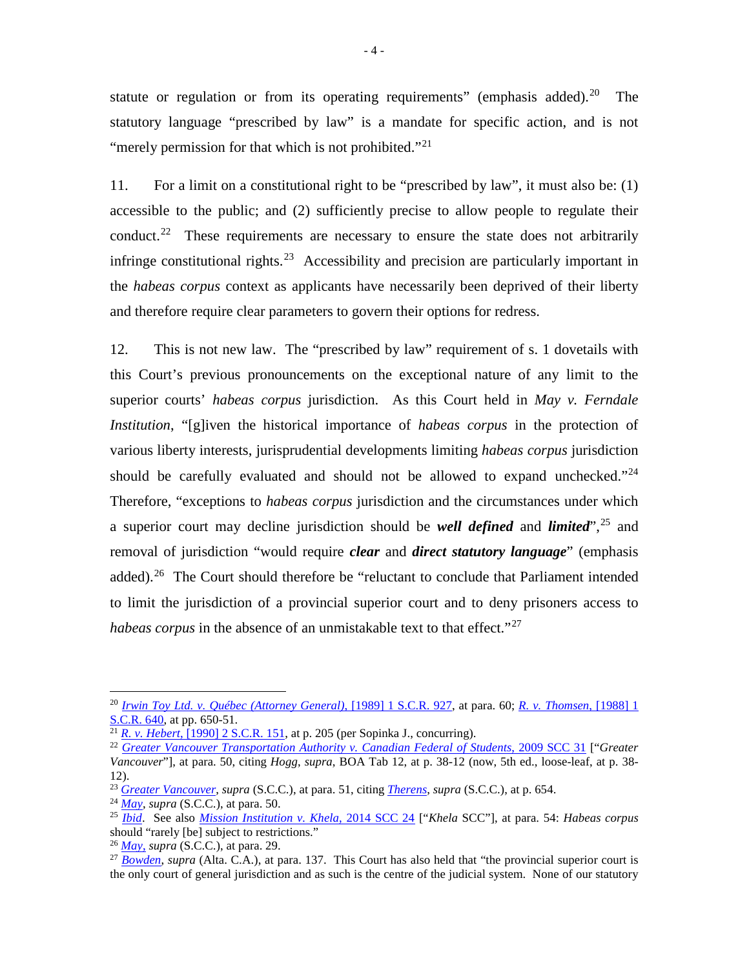statute or regulation or from its operating requirements" (emphasis added).<sup>20</sup> The statutory language "prescribed by law" is a mandate for specific action, and is not "merely permission for that which is not prohibited."<sup>21</sup>

11. For a limit on a constitutional right to be "prescribed by law", it must also be: (1) accessible to the public; and (2) sufficiently precise to allow people to regulate their conduct.<sup>22</sup> These requirements are necessary to ensure the state does not arbitrarily infringe constitutional rights.<sup>23</sup> Accessibility and precision are particularly important in the *habeas corpus* context as applicants have necessarily been deprived of their liberty and therefore require clear parameters to govern their options for redress.

12. This is not new law. The "prescribed by law" requirement of s. 1 dovetails with this Court's previous pronouncements on the exceptional nature of any limit to the superior courts' *habeas corpus* jurisdiction. As this Court held in *May v. Ferndale Institution*, "[g]iven the historical importance of *habeas corpus* in the protection of various liberty interests, jurisprudential developments limiting *habeas corpus* jurisdiction should be carefully evaluated and should not be allowed to expand unchecked."<sup>24</sup> Therefore, "exceptions to *habeas corpus* jurisdiction and the circumstances under which a superior court may decline jurisdiction should be *well defined* and *limited*", <sup>25</sup> and removal of jurisdiction "would require *clear* and *direct statutory language*" (emphasis added).<sup>26</sup> The Court should therefore be "reluctant to conclude that Parliament intended to limit the jurisdiction of a provincial superior court and to deny prisoners access to *habeas corpus* in the absence of an unmistakable text to that effect."<sup>27</sup>

 <sup>20</sup> *Irwin Toy Ltd. v. Québec (Attorney General)*, [1989] 1 S.C.R. 927, at para. 60; *R. v. Thomsen*, [1988] 1 S.C.R. 640, at pp. 650-51.

<sup>&</sup>lt;sup>21</sup> *R. v. Hebert*, [1990] 2 S.C<u>.R. 151</u>, at p. 205 (per Sopinka J., concurring).

<sup>22</sup> *Greater Vancouver Transportation Authority v. Canadian Federal of Students*, 2009 SCC 31 ["*Greater Vancouver*"], at para. 50, citing *Hogg*, *supra*, BOA Tab 12, at p. 38-12 (now, 5th ed., loose-leaf, at p. 38- 12).

<sup>23</sup> *Greater Vancouver*, *supra* (S.C.C.), at para. 51, citing *Therens*, *supra* (S.C.C.), at p. 654.

<sup>24</sup> *May*, *supra* (S.C.C.), at para. 50.

<sup>25</sup> *Ibid*. See also *Mission Institution v. Khela*, 2014 SCC 24 ["*Khela* SCC"], at para. 54: *Habeas corpus* should "rarely [be] subject to restrictions."

<sup>26</sup> *May*, *supra* (S.C.C.), at para. 29.

<sup>&</sup>lt;sup>27</sup> *Bowden*, *supra* (Alta. C.A.), at para. 137. This Court has also held that "the provincial superior court is the only court of general jurisdiction and as such is the centre of the judicial system. None of our statutory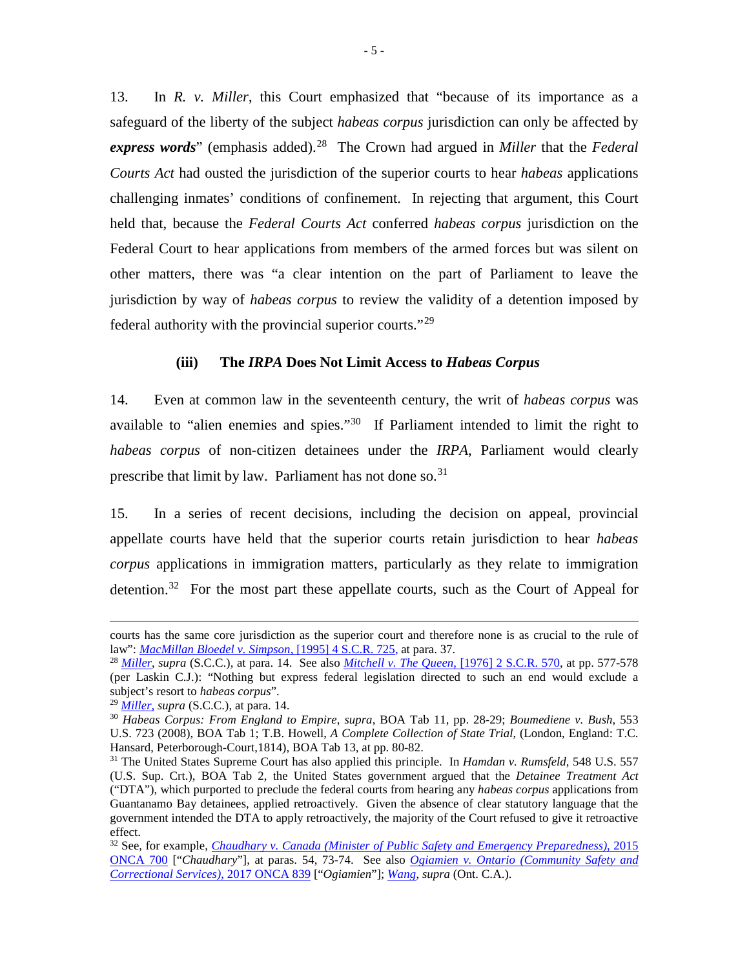13. In *R. v. Miller*, this Court emphasized that "because of its importance as a safeguard of the liberty of the subject *habeas corpus* jurisdiction can only be affected by *express words*" (emphasis added).<sup>28</sup> The Crown had argued in *Miller* that the *Federal Courts Act* had ousted the jurisdiction of the superior courts to hear *habeas* applications challenging inmates' conditions of confinement. In rejecting that argument, this Court held that, because the *Federal Courts Act* conferred *habeas corpus* jurisdiction on the Federal Court to hear applications from members of the armed forces but was silent on other matters, there was "a clear intention on the part of Parliament to leave the jurisdiction by way of *habeas corpus* to review the validity of a detention imposed by federal authority with the provincial superior courts."<sup>29</sup>

## **(iii) The** *IRPA* **Does Not Limit Access to** *Habeas Corpus*

14. Even at common law in the seventeenth century, the writ of *habeas corpus* was available to "alien enemies and spies."<sup>30</sup> If Parliament intended to limit the right to *habeas corpus* of non-citizen detainees under the *IRPA*, Parliament would clearly prescribe that limit by law. Parliament has not done so.<sup>31</sup>

15. In a series of recent decisions, including the decision on appeal, provincial appellate courts have held that the superior courts retain jurisdiction to hear *habeas corpus* applications in immigration matters, particularly as they relate to immigration detention.<sup>32</sup> For the most part these appellate courts, such as the Court of Appeal for

 $\overline{a}$ 

courts has the same core jurisdiction as the superior court and therefore none is as crucial to the rule of law": *MacMillan Bloedel v. Simpson*, [1995] 4 S.C.R. 725, at para. 37.

<sup>28</sup> *Miller*, *supra* (S.C.C.), at para. 14. See also *Mitchell v. The Queen*, [1976] 2 S.C.R. 570, at pp. 577-578 (per Laskin C.J.): "Nothing but express federal legislation directed to such an end would exclude a subject's resort to *habeas corpus*".

<sup>29</sup> *Miller, supra* (S.C.C.), at para. 14.

<sup>30</sup> *Habeas Corpus: From England to Empire*, *supra*, BOA Tab 11, pp. 28-29; *Boumediene v. Bush*, 553 U.S. 723 (2008), BOA Tab 1; T.B. Howell, *A Complete Collection of State Trial*, (London, England: T.C. Hansard, Peterborough-Court,1814), BOA Tab 13, at pp. 80-82.

<sup>31</sup> The United States Supreme Court has also applied this principle. In *Hamdan v. Rumsfeld*, 548 U.S. 557 (U.S. Sup. Crt.), BOA Tab 2, the United States government argued that the *Detainee Treatment Act* ("DTA"), which purported to preclude the federal courts from hearing any *habeas corpus* applications from Guantanamo Bay detainees, applied retroactively. Given the absence of clear statutory language that the government intended the DTA to apply retroactively, the majority of the Court refused to give it retroactive effect.

<sup>32</sup> See, for example, *Chaudhary v. Canada (Minister of Public Safety and Emergency Preparedness)*, 2015 ONCA 700 ["*Chaudhary*"], at paras. 54, 73-74. See also *Ogiamien v. Ontario (Community Safety and Correctional Services)*, 2017 ONCA 839 ["*Ogiamien*"]; *Wang*, *supra* (Ont. C.A.).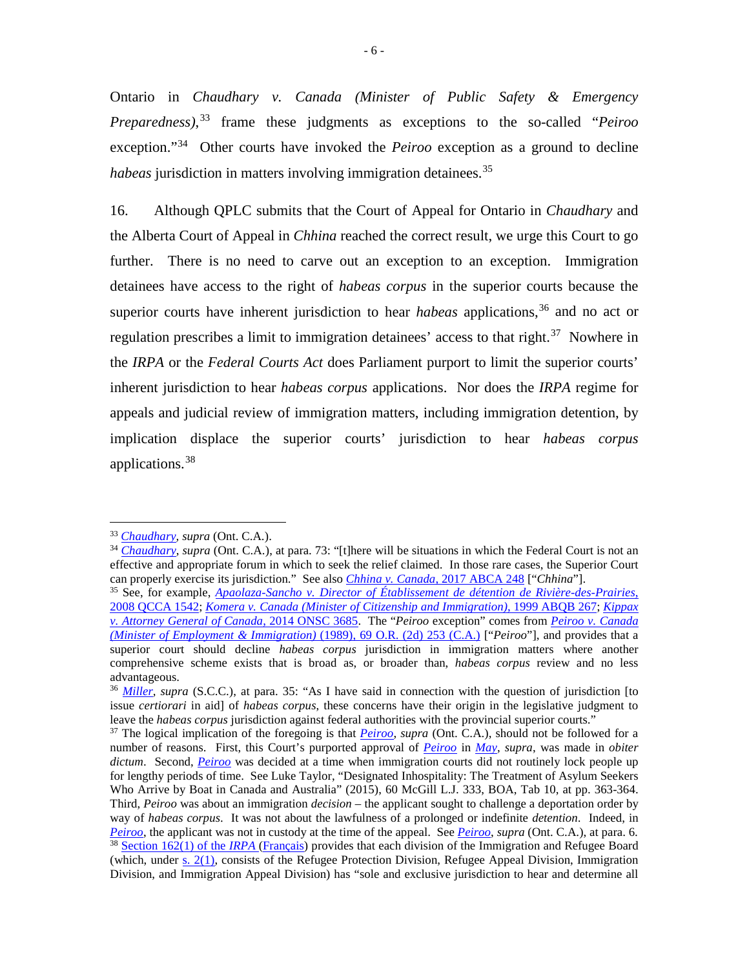Ontario in *Chaudhary v. Canada (Minister of Public Safety & Emergency Preparedness)*, <sup>33</sup> frame these judgments as exceptions to the so-called "*Peiroo* exception."34 Other courts have invoked the *Peiroo* exception as a ground to decline *habeas* jurisdiction in matters involving immigration detainees.<sup>35</sup>

16. Although QPLC submits that the Court of Appeal for Ontario in *Chaudhary* and the Alberta Court of Appeal in *Chhina* reached the correct result, we urge this Court to go further. There is no need to carve out an exception to an exception. Immigration detainees have access to the right of *habeas corpus* in the superior courts because the superior courts have inherent jurisdiction to hear *habeas* applications,<sup>36</sup> and no act or regulation prescribes a limit to immigration detainees' access to that right.<sup>37</sup> Nowhere in the *IRPA* or the *Federal Courts Act* does Parliament purport to limit the superior courts' inherent jurisdiction to hear *habeas corpus* applications. Nor does the *IRPA* regime for appeals and judicial review of immigration matters, including immigration detention, by implication displace the superior courts' jurisdiction to hear *habeas corpus* applications.<sup>38</sup>

<sup>33</sup> *Chaudhary, supra* (Ont. C.A.).

<sup>&</sup>lt;sup>34</sup> *Chaudhary*, *supra* (Ont. C.A.), at para. 73: "[t]here will be situations in which the Federal Court is not an effective and appropriate forum in which to seek the relief claimed. In those rare cases, the Superior Court can properly exercise its jurisdiction." See also *Chhina v. Canada*, 2017 ABCA 248 ["*Chhina*"].

<sup>35</sup> See, for example, *Apaolaza-Sancho v. Director of Établissement de détention de Rivière-des-Prairies*, 2008 QCCA 1542; *Komera v. Canada (Minister of Citizenship and Immigration)*, 1999 ABQB 267; *Kippax v. Attorney General of Canada*, 2014 ONSC 3685. The "*Peiroo* exception" comes from *Peiroo v. Canada (Minister of Employment & Immigration)* (1989), 69 O.R. (2d) 253 (C.A.) ["*Peiroo*"], and provides that a superior court should decline *habeas corpus* jurisdiction in immigration matters where another comprehensive scheme exists that is broad as, or broader than, *habeas corpus* review and no less advantageous.

<sup>36</sup> *Miller, supra* (S.C.C.), at para. 35: "As I have said in connection with the question of jurisdiction [to issue *certiorari* in aid] of *habeas corpus*, these concerns have their origin in the legislative judgment to leave the *habeas corpus* jurisdiction against federal authorities with the provincial superior courts."

<sup>&</sup>lt;sup>37</sup> The logical implication of the foregoing is that *Peiroo*, supra (Ont. C.A.), should not be followed for a number of reasons. First, this Court's purported approval of *Peiroo* in *May*, *supra*, was made in *obiter dictum*. Second, *Peiroo* was decided at a time when immigration courts did not routinely lock people up for lengthy periods of time. See Luke Taylor, "Designated Inhospitality: The Treatment of Asylum Seekers Who Arrive by Boat in Canada and Australia" (2015), 60 McGill L.J. 333, BOA, Tab 10, at pp. 363-364. Third, *Peiroo* was about an immigration *decision* – the applicant sought to challenge a deportation order by way of *habeas corpus*. It was not about the lawfulness of a prolonged or indefinite *detention*. Indeed, in *Peiroo*, the applicant was not in custody at the time of the appeal. See *Peiroo*, *supra* (Ont. C.A.), at para. 6. <sup>38</sup> Section 162(1) of the *IRPA* (Français) provides that each division of the Immigration and Refugee Board (which, under  $s$ .  $2(1)$ , consists of the Refugee Protection Division, Refugee Appeal Division, Immigration Division, and Immigration Appeal Division) has "sole and exclusive jurisdiction to hear and determine all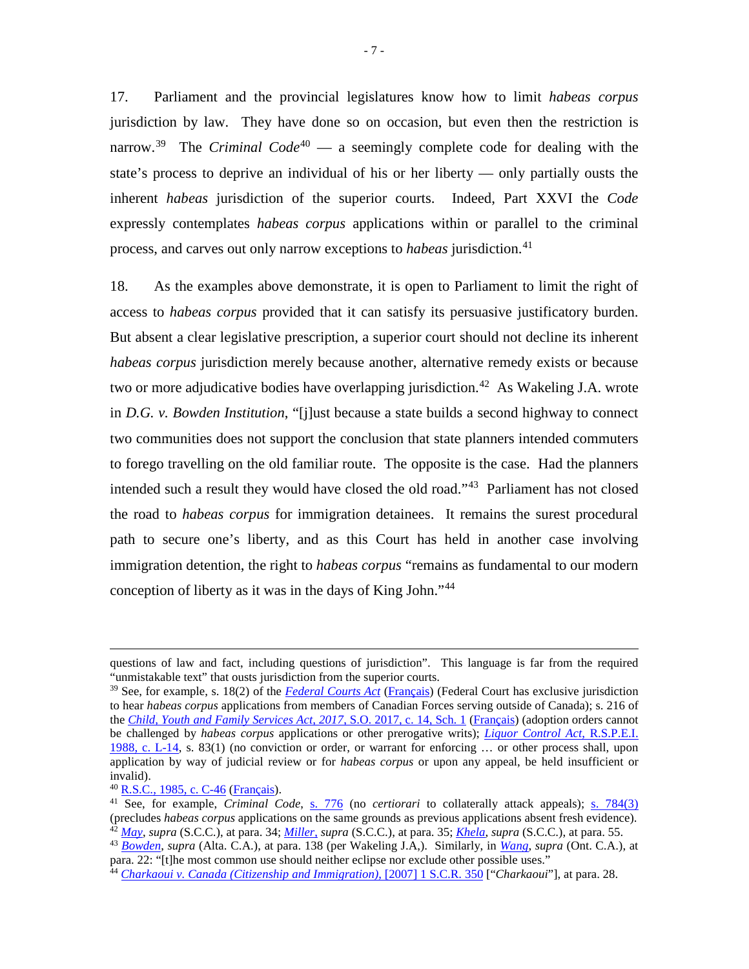17. Parliament and the provincial legislatures know how to limit *habeas corpus* jurisdiction by law. They have done so on occasion, but even then the restriction is narrow.<sup>39</sup> The *Criminal Code*<sup>40</sup> — a seemingly complete code for dealing with the state's process to deprive an individual of his or her liberty — only partially ousts the inherent *habeas* jurisdiction of the superior courts. Indeed, Part XXVI the *Code* expressly contemplates *habeas corpus* applications within or parallel to the criminal process, and carves out only narrow exceptions to *habeas* jurisdiction.<sup>41</sup>

18. As the examples above demonstrate, it is open to Parliament to limit the right of access to *habeas corpus* provided that it can satisfy its persuasive justificatory burden. But absent a clear legislative prescription, a superior court should not decline its inherent *habeas corpus* jurisdiction merely because another, alternative remedy exists or because two or more adjudicative bodies have overlapping jurisdiction.<sup>42</sup> As Wakeling J.A. wrote in *D.G. v. Bowden Institution*, "[j]ust because a state builds a second highway to connect two communities does not support the conclusion that state planners intended commuters to forego travelling on the old familiar route. The opposite is the case. Had the planners intended such a result they would have closed the old road."43 Parliament has not closed the road to *habeas corpus* for immigration detainees. It remains the surest procedural path to secure one's liberty, and as this Court has held in another case involving immigration detention, the right to *habeas corpus* "remains as fundamental to our modern conception of liberty as it was in the days of King John."44

 $\overline{a}$ 

questions of law and fact, including questions of jurisdiction". This language is far from the required "unmistakable text" that ousts jurisdiction from the superior courts.

<sup>39</sup> See, for example, s. 18(2) of the *Federal Courts Act* (Français) (Federal Court has exclusive jurisdiction to hear *habeas corpus* applications from members of Canadian Forces serving outside of Canada); s. 216 of the *Child, Youth and Family Services Act, 2017*, S.O. 2017, c. 14, Sch. 1 (Français) (adoption orders cannot be challenged by *habeas corpus* applications or other prerogative writs); *Liquor Control Act*, R.S.P.E.I. 1988, c. L-14, s. 83(1) (no conviction or order, or warrant for enforcing … or other process shall, upon application by way of judicial review or for *habeas corpus* or upon any appeal, be held insufficient or invalid).

<sup>40</sup> R.S.C., 1985, c. C-46 (Français).

<sup>41</sup> See, for example, *Criminal Code*, s. 776 (no *certiorari* to collaterally attack appeals); s. 784(3) (precludes *habeas corpus* applications on the same grounds as previous applications absent fresh evidence). <sup>42</sup> *May*, *supra* (S.C.C.), at para. 34; *Miller*, *supra* (S.C.C.), at para. 35; *Khela*, *supra* (S.C.C.), at para. 55.

<sup>43</sup> *Bowden*, *supra* (Alta. C.A.), at para. 138 (per Wakeling J.A,). Similarly, in *Wang*, *supra* (Ont. C.A.), at para. 22: "[t]he most common use should neither eclipse nor exclude other possible uses."

<sup>44</sup> *Charkaoui v. Canada (Citizenship and Immigration)*, [2007] 1 S.C.R. 350 ["*Charkaoui*"], at para. 28.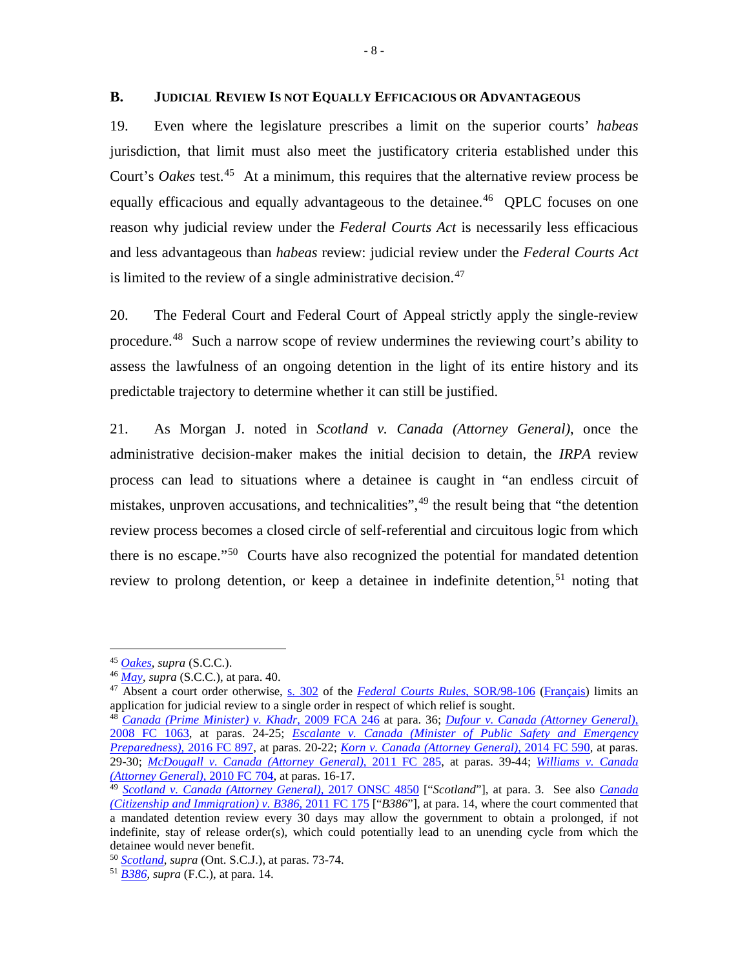### **B. JUDICIAL REVIEW IS NOT EQUALLY EFFICACIOUS OR ADVANTAGEOUS**

19. Even where the legislature prescribes a limit on the superior courts' *habeas* jurisdiction, that limit must also meet the justificatory criteria established under this Court's *Oakes* test.<sup>45</sup> At a minimum, this requires that the alternative review process be equally efficacious and equally advantageous to the detainee.<sup>46</sup> QPLC focuses on one reason why judicial review under the *Federal Courts Act* is necessarily less efficacious and less advantageous than *habeas* review: judicial review under the *Federal Courts Act* is limited to the review of a single administrative decision. $47$ 

20. The Federal Court and Federal Court of Appeal strictly apply the single-review procedure.<sup>48</sup> Such a narrow scope of review undermines the reviewing court's ability to assess the lawfulness of an ongoing detention in the light of its entire history and its predictable trajectory to determine whether it can still be justified.

21. As Morgan J. noted in *Scotland v. Canada (Attorney General)*, once the administrative decision-maker makes the initial decision to detain, the *IRPA* review process can lead to situations where a detainee is caught in "an endless circuit of mistakes, unproven accusations, and technicalities",<sup>49</sup> the result being that "the detention review process becomes a closed circle of self-referential and circuitous logic from which there is no escape."50 Courts have also recognized the potential for mandated detention review to prolong detention, or keep a detainee in indefinite detention,<sup>51</sup> noting that

 <sup>45</sup> *Oakes*, *supra* (S.C.C.).

<sup>46</sup> *May*, *supra* (S.C.C.), at para. 40.

<sup>47</sup> Absent a court order otherwise, s. 302 of the *Federal Courts Rules*, SOR/98-106 (Français) limits an application for judicial review to a single order in respect of which relief is sought.

<sup>48</sup> *Canada (Prime Minister) v. Khadr*, 2009 FCA 246 at para. 36; *Dufour v. Canada (Attorney General)*, 2008 FC 1063, at paras. 24-25; *Escalante v. Canada (Minister of Public Safety and Emergency Preparedness),* 2016 FC 897, at paras. 20-22; *Korn v. Canada (Attorney General)*, 2014 FC 590, at paras. 29-30; *McDougall v. Canada (Attorney General)*, 2011 FC 285, at paras. 39-44; *Williams v. Canada (Attorney General)*, 2010 FC 704, at paras. 16-17.

<sup>49</sup> *Scotland v. Canada (Attorney General)*, 2017 ONSC 4850 ["*Scotland*"], at para. 3. See also *Canada (Citizenship and Immigration) v. B386*, 2011 FC 175 ["*B386*"], at para. 14, where the court commented that a mandated detention review every 30 days may allow the government to obtain a prolonged, if not indefinite, stay of release order(s), which could potentially lead to an unending cycle from which the detainee would never benefit.

<sup>50</sup> *Scotland*, *supra* (Ont. S.C.J.), at paras. 73-74.

<sup>51</sup> *B386*, *supra* (F.C.), at para. 14.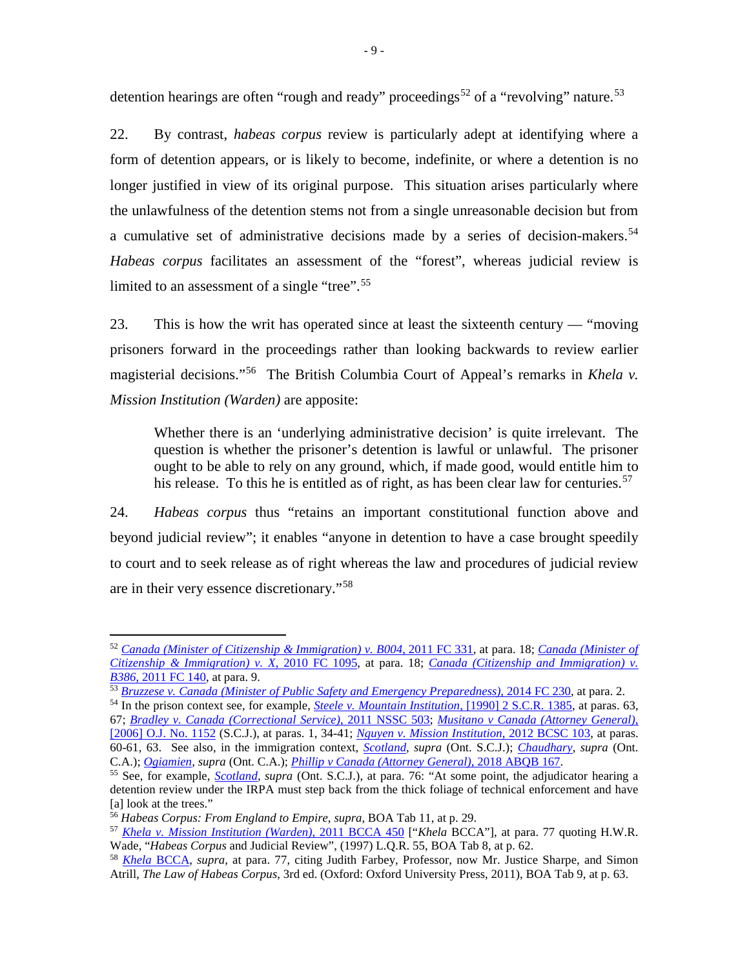detention hearings are often "rough and ready" proceedings<sup>52</sup> of a "revolving" nature.<sup>53</sup>

22. By contrast, *habeas corpus* review is particularly adept at identifying where a form of detention appears, or is likely to become, indefinite, or where a detention is no longer justified in view of its original purpose. This situation arises particularly where the unlawfulness of the detention stems not from a single unreasonable decision but from a cumulative set of administrative decisions made by a series of decision-makers.<sup>54</sup> *Habeas corpus* facilitates an assessment of the "forest", whereas judicial review is limited to an assessment of a single "tree".<sup>55</sup>

23. This is how the writ has operated since at least the sixteenth century — "moving prisoners forward in the proceedings rather than looking backwards to review earlier magisterial decisions."56 The British Columbia Court of Appeal's remarks in *Khela v. Mission Institution (Warden)* are apposite:

Whether there is an 'underlying administrative decision' is quite irrelevant. The question is whether the prisoner's detention is lawful or unlawful. The prisoner ought to be able to rely on any ground, which, if made good, would entitle him to his release. To this he is entitled as of right, as has been clear law for centuries.<sup>57</sup>

24. *Habeas corpus* thus "retains an important constitutional function above and beyond judicial review"; it enables "anyone in detention to have a case brought speedily to court and to seek release as of right whereas the law and procedures of judicial review are in their very essence discretionary."<sup>58</sup>

 <sup>52</sup> *Canada (Minister of Citizenship & Immigration) v. B004*, 2011 FC 331, at para. 18; *Canada (Minister of Citizenship & Immigration) v. X*, 2010 FC 1095, at para. 18; *Canada (Citizenship and Immigration) v. B386*, 2011 FC 140, at para. 9.

<sup>53</sup> *Bruzzese v. Canada (Minister of Public Safety and Emergency Preparedness)*, 2014 FC 230, at para. 2.

<sup>54</sup> In the prison context see, for example, *Steele v. Mountain Institution*, [1990] 2 S.C.R. 1385, at paras. 63, 67; *Bradley v. Canada (Correctional Service)*, 2011 NSSC 503; *Musitano v Canada (Attorney General)*, [2006] O.J. No. 1152 (S.C.J.), at paras. 1, 34-41; *Nguyen v. Mission Institution*, 2012 BCSC 103, at paras. 60-61, 63. See also, in the immigration context, *Scotland, supra* (Ont. S.C.J.); *Chaudhary*, *supra* (Ont. C.A.); *Ogiamien, supra* (Ont. C.A.); *Phillip v Canada (Attorney General)*, 2018 ABQB 167.

<sup>55</sup> See, for example, *Scotland, supra* (Ont. S.C.J.), at para. 76: "At some point, the adjudicator hearing a detention review under the IRPA must step back from the thick foliage of technical enforcement and have [a] look at the trees."

<sup>56</sup> *Habeas Corpus: From England to Empire*, *supra*, BOA Tab 11, at p. 29.

<sup>57</sup> *Khela v. Mission Institution (Warden)*, 2011 BCCA 450 ["*Khela* BCCA"], at para. 77 quoting H.W.R. Wade, "*Habeas Corpus* and Judicial Review", (1997) L.Q.R. 55, BOA Tab 8, at p. 62.

<sup>58</sup> *Khela* BCCA*, supra*, at para. 77, citing Judith Farbey, Professor, now Mr. Justice Sharpe, and Simon Atrill, *The Law of Habeas Corpus*, 3rd ed. (Oxford: Oxford University Press, 2011), BOA Tab 9, at p. 63.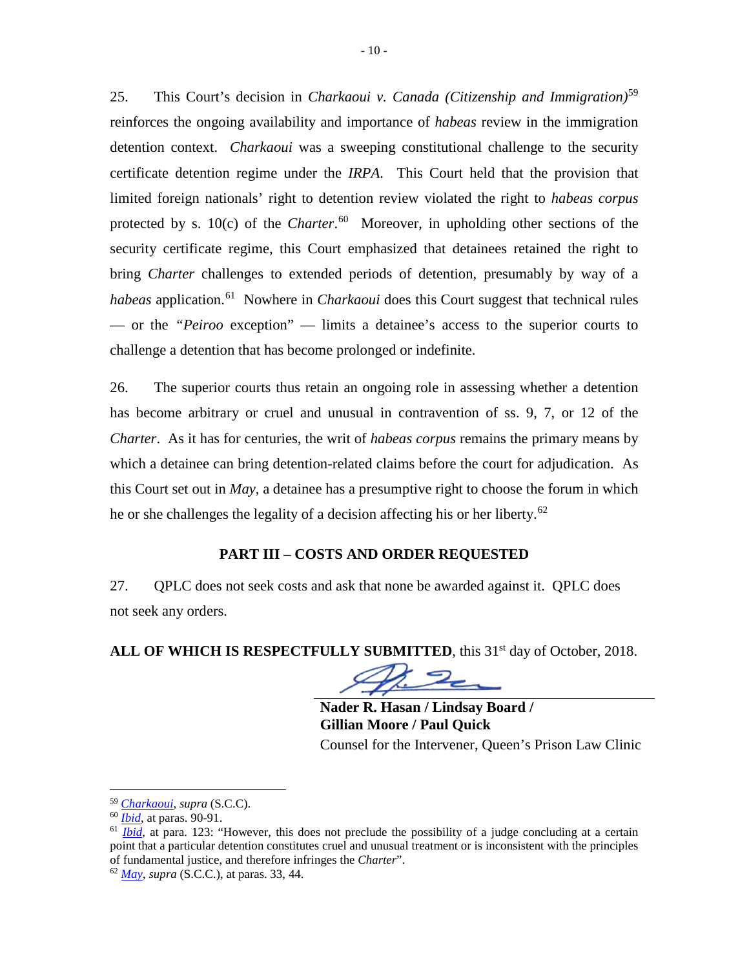25. This Court's decision in *Charkaoui v. Canada (Citizenship and Immigration)*<sup>59</sup> reinforces the ongoing availability and importance of *habeas* review in the immigration detention context. *Charkaoui* was a sweeping constitutional challenge to the security certificate detention regime under the *IRPA*. This Court held that the provision that limited foreign nationals' right to detention review violated the right to *habeas corpus* protected by s. 10(c) of the *Charter*. 60 Moreover, in upholding other sections of the security certificate regime, this Court emphasized that detainees retained the right to bring *Charter* challenges to extended periods of detention, presumably by way of a *habeas* application.<sup>61</sup> Nowhere in *Charkaoui* does this Court suggest that technical rules — or the *"Peiroo* exception" — limits a detainee's access to the superior courts to challenge a detention that has become prolonged or indefinite.

26. The superior courts thus retain an ongoing role in assessing whether a detention has become arbitrary or cruel and unusual in contravention of ss. 9, 7, or 12 of the *Charter*. As it has for centuries, the writ of *habeas corpus* remains the primary means by which a detainee can bring detention-related claims before the court for adjudication. As this Court set out in *May*, a detainee has a presumptive right to choose the forum in which he or she challenges the legality of a decision affecting his or her liberty.<sup>62</sup>

## **PART III – COSTS AND ORDER REQUESTED**

27. QPLC does not seek costs and ask that none be awarded against it. QPLC does not seek any orders.

**ALL OF WHICH IS RESPECTFULLY SUBMITTED, this 31<sup>st</sup> day of October, 2018.** 

**Nader R. Hasan / Lindsay Board / Gillian Moore / Paul Quick** Counsel for the Intervener, Queen's Prison Law Clinic

<sup>59</sup> *Charkaoui*, *supra* (S.C.C).

<sup>60</sup> *Ibid*, at paras. 90-91.

<sup>&</sup>lt;sup>61</sup> *Ibid*, at para. 123: "However, this does not preclude the possibility of a judge concluding at a certain point that a particular detention constitutes cruel and unusual treatment or is inconsistent with the principles of fundamental justice, and therefore infringes the *Charter*".

<sup>62</sup> *May*, *supra* (S.C.C.), at paras. 33, 44.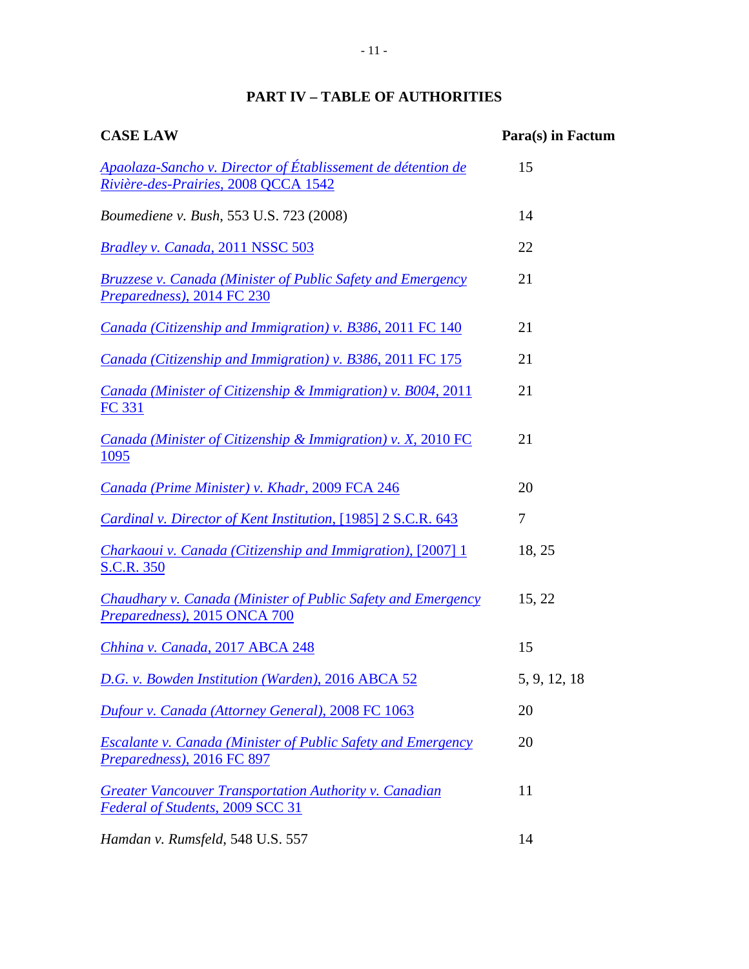# **PART IV – TABLE OF AUTHORITIES**

| <b>CASE LAW</b>                                                                                      | Para(s) in Factum |
|------------------------------------------------------------------------------------------------------|-------------------|
| Apaolaza-Sancho v. Director of Établissement de détention de<br>Rivière-des-Prairies, 2008 QCCA 1542 | 15                |
| Boumediene v. Bush, 553 U.S. 723 (2008)                                                              | 14                |
| <b>Bradley v. Canada, 2011 NSSC 503</b>                                                              | 22                |
| <b>Bruzzese v. Canada (Minister of Public Safety and Emergency</b><br>Preparedness), 2014 FC 230     | 21                |
| Canada (Citizenship and Immigration) v. B386, 2011 FC 140                                            | 21                |
| Canada (Citizenship and Immigration) v. B386, 2011 FC 175                                            | 21                |
| Canada (Minister of Citizenship & Immigration) v. B004, 2011<br><b>FC 331</b>                        | 21                |
| Canada (Minister of Citizenship & Immigration) v. X, 2010 FC<br>1095                                 | 21                |
| Canada (Prime Minister) v. Khadr, 2009 FCA 246                                                       | 20                |
| Cardinal v. Director of Kent Institution, [1985] 2 S.C.R. 643                                        | 7                 |
| Charkaoui v. Canada (Citizenship and Immigration), [2007] 1<br><b>S.C.R. 350</b>                     | 18, 25            |
| Chaudhary v. Canada (Minister of Public Safety and Emergency<br>Preparedness), 2015 ONCA 700         | 15, 22            |
| Chhina v. Canada, 2017 ABCA 248                                                                      | 15                |
| D.G. v. Bowden Institution (Warden), 2016 ABCA 52                                                    | 5, 9, 12, 18      |
| Dufour v. Canada (Attorney General), 2008 FC 1063                                                    | 20                |
| <b>Escalante v. Canada (Minister of Public Safety and Emergency</b><br>Preparedness), 2016 FC 897    | 20                |
| <b>Greater Vancouver Transportation Authority v. Canadian</b><br>Federal of Students, 2009 SCC 31    | 11                |
| Hamdan v. Rumsfeld, 548 U.S. 557                                                                     | 14                |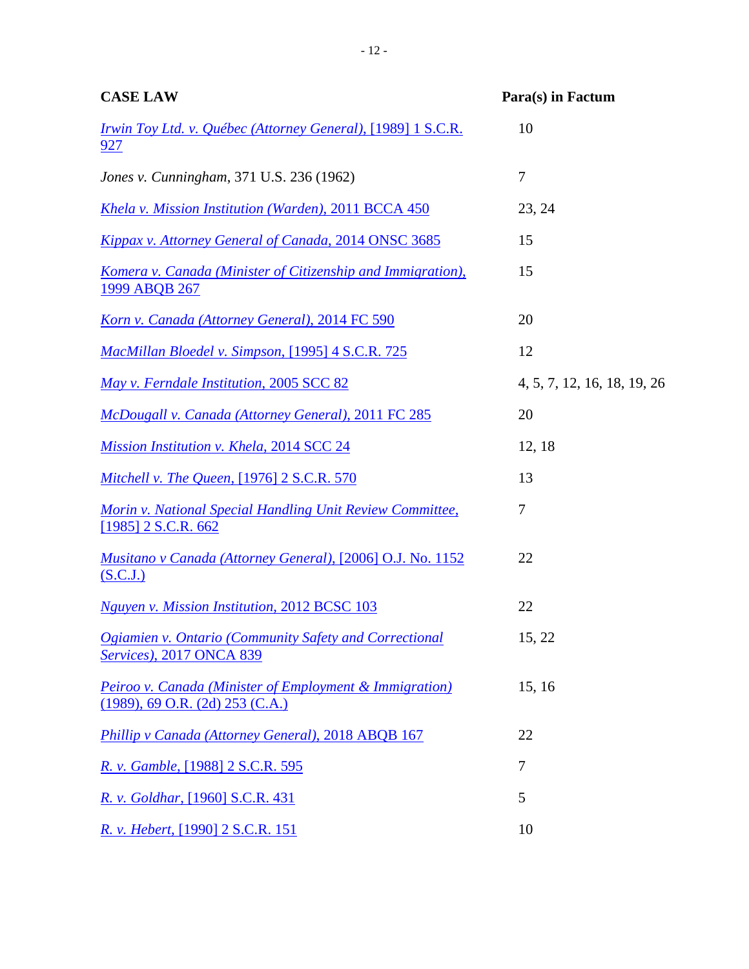| <b>CASE LAW</b>                                                                                 | Para(s) in Factum           |
|-------------------------------------------------------------------------------------------------|-----------------------------|
| Irwin Toy Ltd. v. Québec (Attorney General), [1989] 1 S.C.R.<br>927                             | 10                          |
| Jones v. Cunningham, 371 U.S. 236 (1962)                                                        | 7                           |
| Khela v. Mission Institution (Warden), 2011 BCCA 450                                            | 23, 24                      |
| Kippax v. Attorney General of Canada, 2014 ONSC 3685                                            | 15                          |
| <u>Komera v. Canada (Minister of Citizenship and Immigration),</u><br>1999 ABQB 267             | 15                          |
| Korn v. Canada (Attorney General), 2014 FC 590                                                  | 20                          |
| MacMillan Bloedel v. Simpson, [1995] 4 S.C.R. 725                                               | 12                          |
| May v. Ferndale Institution, 2005 SCC 82                                                        | 4, 5, 7, 12, 16, 18, 19, 26 |
| McDougall v. Canada (Attorney General), 2011 FC 285                                             | 20                          |
| Mission Institution v. Khela, 2014 SCC 24                                                       | 12, 18                      |
| Mitchell v. The Queen, [1976] 2 S.C.R. 570                                                      | 13                          |
| Morin v. National Special Handling Unit Review Committee,<br>$[1985]$ 2 S.C.R. 662              | 7                           |
| Musitano v Canada (Attorney General), [2006] O.J. No. 1152<br>(S.C.J.)                          | 22                          |
| Nguyen v. Mission Institution, 2012 BCSC 103                                                    | 22                          |
| Ogiamien v. Ontario (Community Safety and Correctional<br><b>Services</b> ), 2017 ONCA 839      | 15, 22                      |
| Peiroo v. Canada (Minister of Employment & Immigration)<br>$(1989)$ , 69 O.R. $(2d)$ 253 (C.A.) | 15, 16                      |
| Phillip v Canada (Attorney General), 2018 ABQB 167                                              | 22                          |
| R. v. Gamble, [1988] 2 S.C.R. 595                                                               | 7                           |
| R. v. Goldhar, [1960] S.C.R. 431                                                                | 5                           |
| R. v. Hebert, [1990] 2 S.C.R. 151                                                               | 10                          |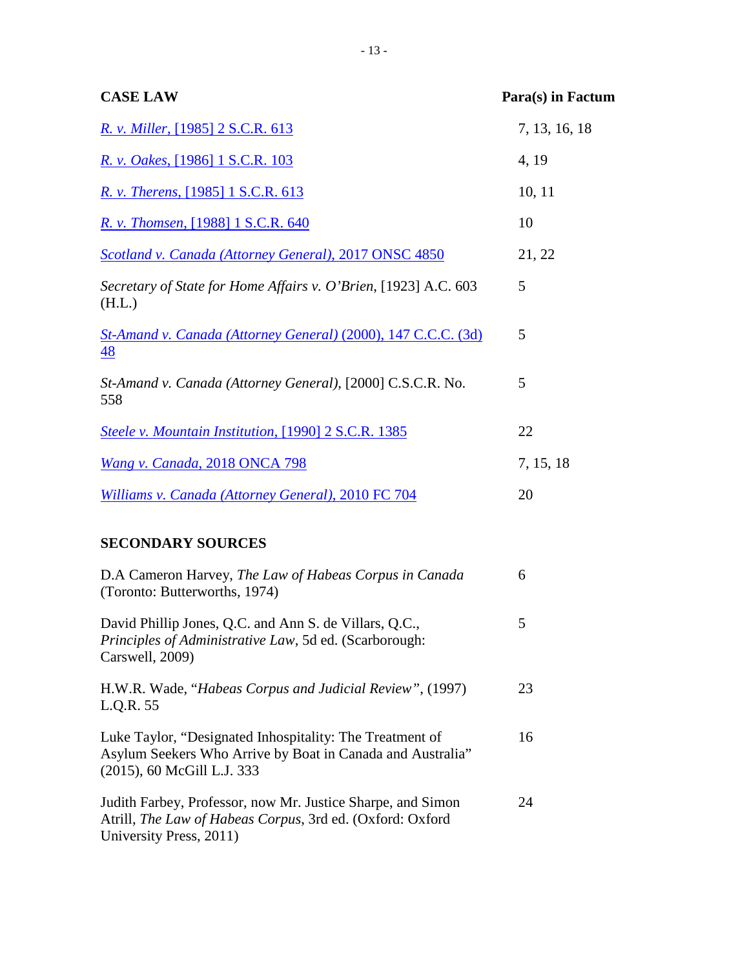| <b>CASE LAW</b>                                                           | Para(s) in Factum |
|---------------------------------------------------------------------------|-------------------|
| <u>R. v. Miller, [1985] 2 S.C.R. 613</u>                                  | 7, 13, 16, 18     |
| R. v. Oakes, [1986] 1 S.C.R. 103                                          | 4, 19             |
| <u>R. v. Therens, [1985] 1 S.C.R. 613</u>                                 | 10, 11            |
| R. v. Thomsen, [1988] 1 S.C.R. 640                                        | 10                |
| Scotland v. Canada (Attorney General), 2017 ONSC 4850                     | 21, 22            |
| Secretary of State for Home Affairs v. O'Brien, [1923] A.C. 603<br>(H.L.) | 5                 |
| St-Amand v. Canada (Attorney General) (2000), 147 C.C.C. (3d)<br>48       | 5                 |
| St-Amand v. Canada (Attorney General), [2000] C.S.C.R. No.<br>558         | 5                 |
| Steele v. Mountain Institution, [1990] 2 S.C.R. 1385                      | 22                |
| Wang v. Canada, 2018 ONCA 798                                             | 7, 15, 18         |
| Williams v. Canada (Attorney General), 2010 FC 704                        | 20                |
| <b>SECONDARY SOURCES</b>                                                  |                   |

## D.A Cameron Harvey, *The Law of Habeas Corpus in Canada* (Toronto: Butterworths, 1974) 6 David Phillip Jones, Q.C. and Ann S. de Villars, Q.C., *Principles of Administrative Law*, 5d ed. (Scarborough: Carswell, 2009) 5 H.W.R. Wade, "*Habeas Corpus and Judicial Review"*, (1997) L.Q.R. 55 23 Luke Taylor, "Designated Inhospitality: The Treatment of Asylum Seekers Who Arrive by Boat in Canada and Australia" (2015), 60 McGill L.J. 333 16 Judith Farbey, Professor, now Mr. Justice Sharpe, and Simon Atrill, *The Law of Habeas Corpus*, 3rd ed. (Oxford: Oxford University Press, 2011) 24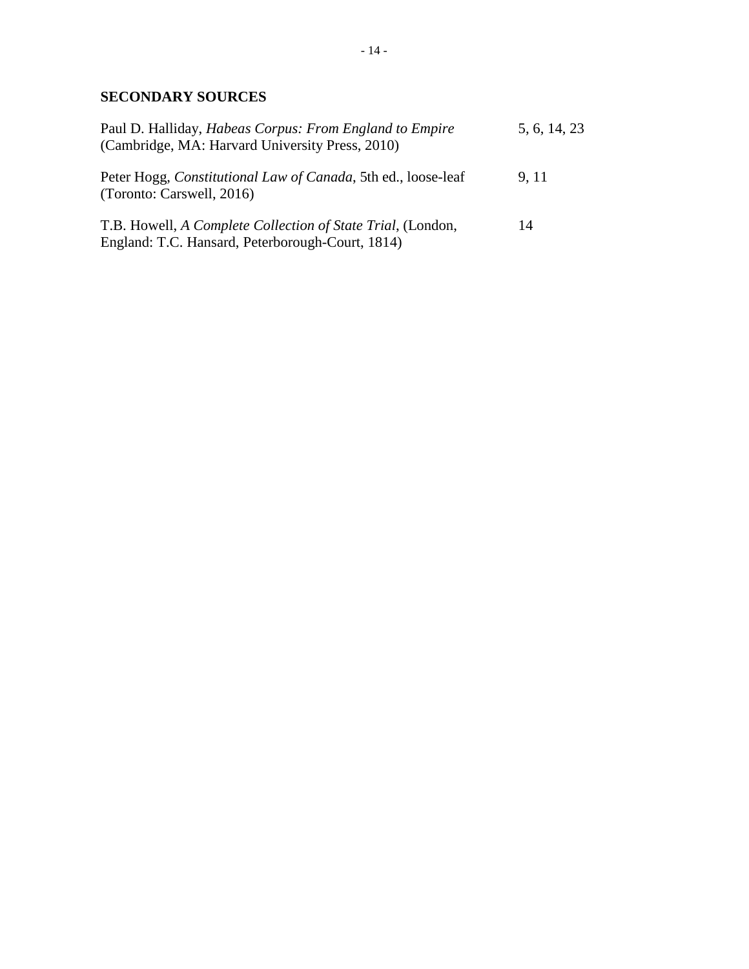# **SECONDARY SOURCES**

| Paul D. Halliday, <i>Habeas Corpus: From England to Empire</i><br>(Cambridge, MA: Harvard University Press, 2010) | 5, 6, 14, 23 |
|-------------------------------------------------------------------------------------------------------------------|--------------|
| Peter Hogg, <i>Constitutional Law of Canada</i> , 5th ed., loose-leaf<br>(Toronto: Carswell, 2016)                | 9, 11        |
| T.B. Howell, A Complete Collection of State Trial, (London,<br>England: T.C. Hansard, Peterborough-Court, 1814)   | 14           |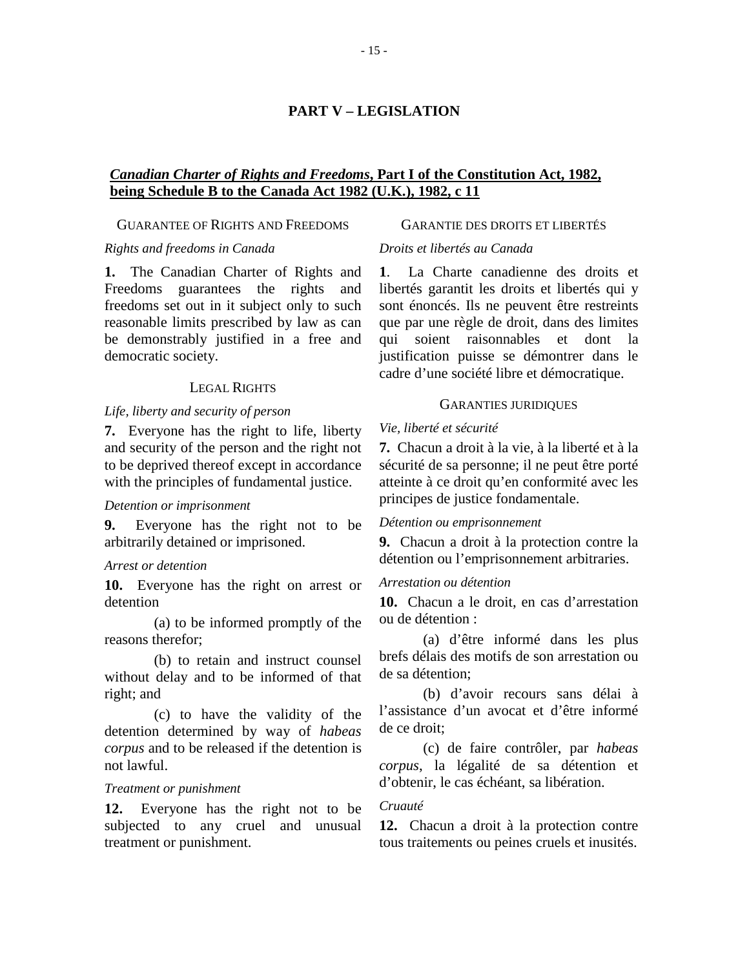## **PART V – LEGISLATION**

## *Canadian Charter of Rights and Freedoms***, Part I of the Constitution Act, 1982, being Schedule B to the Canada Act 1982 (U.K.), 1982, c 11**

## GUARANTEE OF RIGHTS AND FREEDOMS

### *Rights and freedoms in Canada*

**1.** The Canadian Charter of Rights and Freedoms guarantees the rights and freedoms set out in it subject only to such reasonable limits prescribed by law as can be demonstrably justified in a free and democratic society.

## LEGAL RIGHTS

### *Life, liberty and security of person*

**7.** Everyone has the right to life, liberty and security of the person and the right not to be deprived thereof except in accordance with the principles of fundamental justice.

#### *Detention or imprisonment*

**9.** Everyone has the right not to be arbitrarily detained or imprisoned.

#### *Arrest or detention*

**10.** Everyone has the right on arrest or detention

(a) to be informed promptly of the reasons therefor;

(b) to retain and instruct counsel without delay and to be informed of that right; and

(c) to have the validity of the detention determined by way of *habeas corpus* and to be released if the detention is not lawful.

### *Treatment or punishment*

**12.** Everyone has the right not to be subjected to any cruel and unusual treatment or punishment.

## GARANTIE DES DROITS ET LIBERTÉS

### *Droits et libertés au Canada*

**1**. La Charte canadienne des droits et libertés garantit les droits et libertés qui y sont énoncés. Ils ne peuvent être restreints que par une règle de droit, dans des limites qui soient raisonnables et dont justification puisse se démontrer dans le cadre d'une société libre et démocratique.

## GARANTIES JURIDIQUES

#### *Vie, liberté et sécurité*

**7.** Chacun a droit à la vie, à la liberté et à la sécurité de sa personne; il ne peut être porté atteinte à ce droit qu'en conformité avec les principes de justice fondamentale.

#### *Détention ou emprisonnement*

**9.** Chacun a droit à la protection contre la détention ou l'emprisonnement arbitraries.

#### *Arrestation ou détention*

**10.** Chacun a le droit, en cas d'arrestation ou de détention :

(a) d'être informé dans les plus brefs délais des motifs de son arrestation ou de sa détention;

(b) d'avoir recours sans délai à l'assistance d'un avocat et d'être informé de ce droit;

(c) de faire contrôler, par *habeas corpus*, la légalité de sa détention et d'obtenir, le cas échéant, sa libération.

#### *Cruauté*

**12.** Chacun a droit à la protection contre tous traitements ou peines cruels et inusités.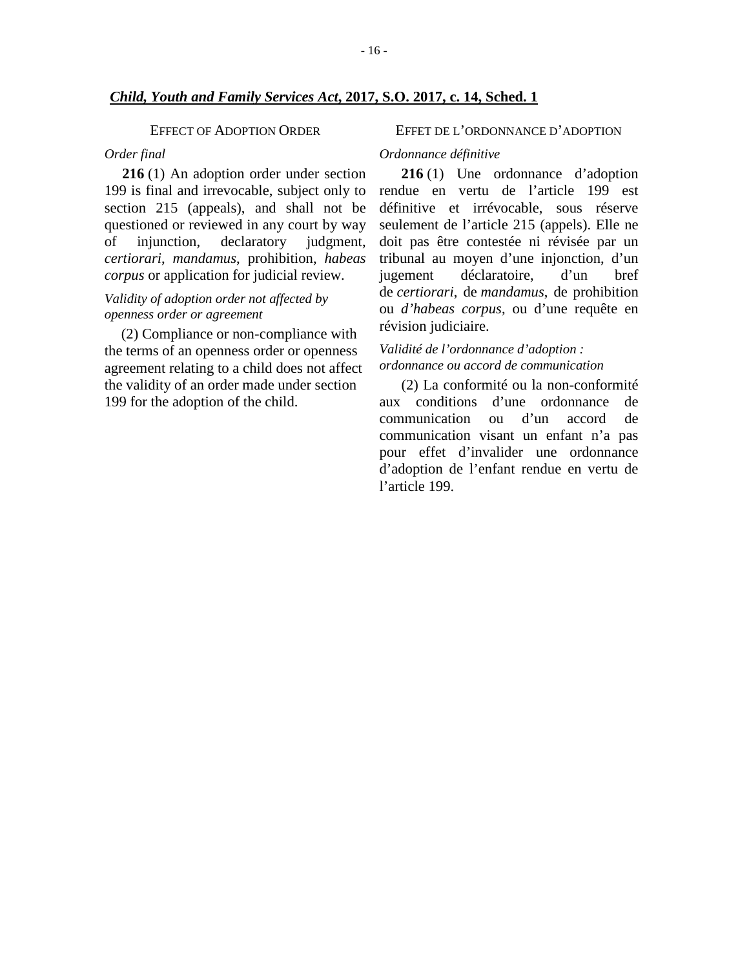#### EFFECT OF ADOPTION ORDER

#### *Order final*

**216** (1) An adoption order under section 199 is final and irrevocable, subject only to section 215 (appeals), and shall not be questioned or reviewed in any court by way of injunction, declaratory judgment, *certiorari*, *mandamus*, prohibition, *habeas corpus* or application for judicial review.

# *Validity of adoption order not affected by openness order or agreement*

(2) Compliance or non-compliance with the terms of an openness order or openness agreement relating to a child does not affect the validity of an order made under section 199 for the adoption of the child.

#### EFFET DE L'ORDONNANCE D'ADOPTION

#### *Ordonnance définitive*

**216** (1) Une ordonnance d'adoption rendue en vertu de l'article 199 est définitive et irrévocable, sous réserve seulement de l'article 215 (appels). Elle ne doit pas être contestée ni révisée par un tribunal au moyen d'une injonction, d'un jugement déclaratoire, d'un bref de *certiorari*, de *mandamus*, de prohibition ou *d'habeas corpus*, ou d'une requête en révision judiciaire.

## *Validité de l'ordonnance d'adoption : ordonnance ou accord de communication*

(2) La conformité ou la non-conformité aux conditions d'une ordonnance de communication ou d'un accord de communication visant un enfant n'a pas pour effet d'invalider une ordonnance d'adoption de l'enfant rendue en vertu de l'article 199.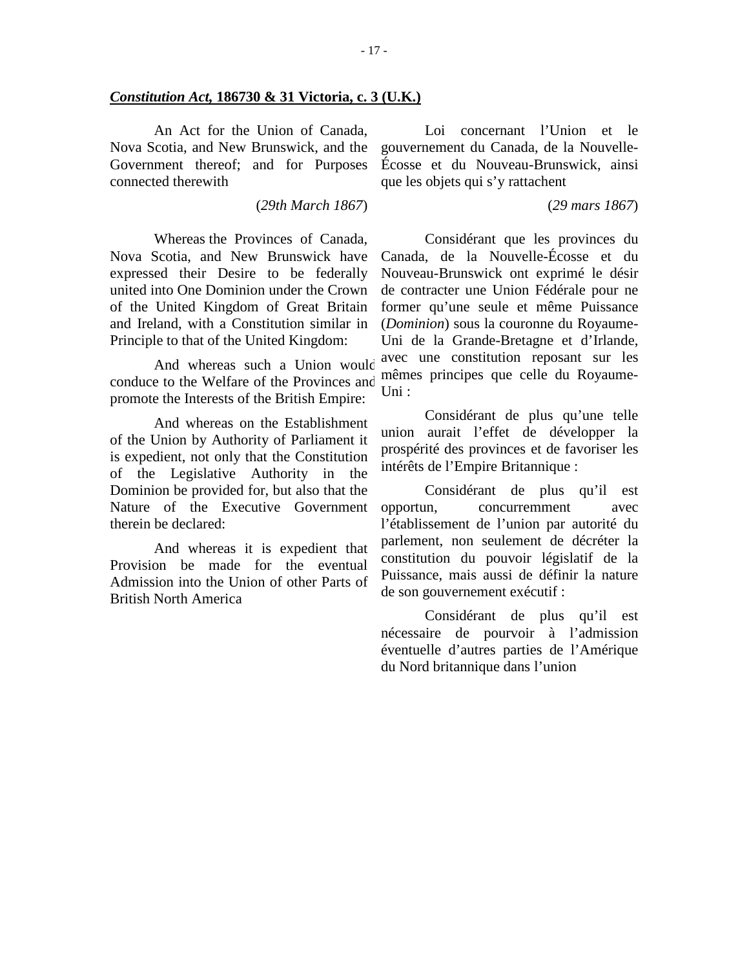#### *Constitution Act,* **186730 & 31 Victoria, c. 3 (U.K.)**

An Act for the Union of Canada, Nova Scotia, and New Brunswick, and the Government thereof; and for Purposes connected therewith

(*29th March 1867*)

Whereas the Provinces of Canada, Nova Scotia, and New Brunswick have expressed their Desire to be federally united into One Dominion under the Crown of the United Kingdom of Great Britain and Ireland, with a Constitution similar in Principle to that of the United Kingdom:

And whereas such a Union would conduce to the Welfare of the Provinces and promote the Interests of the British Empire:

And whereas on the Establishment of the Union by Authority of Parliament it is expedient, not only that the Constitution of the Legislative Authority in the Dominion be provided for, but also that the Nature of the Executive Government therein be declared:

And whereas it is expedient that Provision be made for the eventual Admission into the Union of other Parts of British North America

Loi concernant l'Union et le gouvernement du Canada, de la Nouvelle-Écosse et du Nouveau-Brunswick, ainsi que les objets qui s'y rattachent

(*29 mars 1867*)

Considérant que les provinces du Canada, de la Nouvelle-Écosse et du Nouveau-Brunswick ont exprimé le désir de contracter une Union Fédérale pour ne former qu'une seule et même Puissance (*Dominion*) sous la couronne du Royaume-Uni de la Grande-Bretagne et d'Irlande, avec une constitution reposant sur les mêmes principes que celle du Royaume-Uni :

Considérant de plus qu'une telle union aurait l'effet de développer la prospérité des provinces et de favoriser les intérêts de l'Empire Britannique :

Considérant de plus qu'il est opportun, concurremment avec l'établissement de l'union par autorité du parlement, non seulement de décréter la constitution du pouvoir législatif de la Puissance, mais aussi de définir la nature de son gouvernement exécutif :

Considérant de plus qu'il est nécessaire de pourvoir à l'admission éventuelle d'autres parties de l'Amérique du Nord britannique dans l'union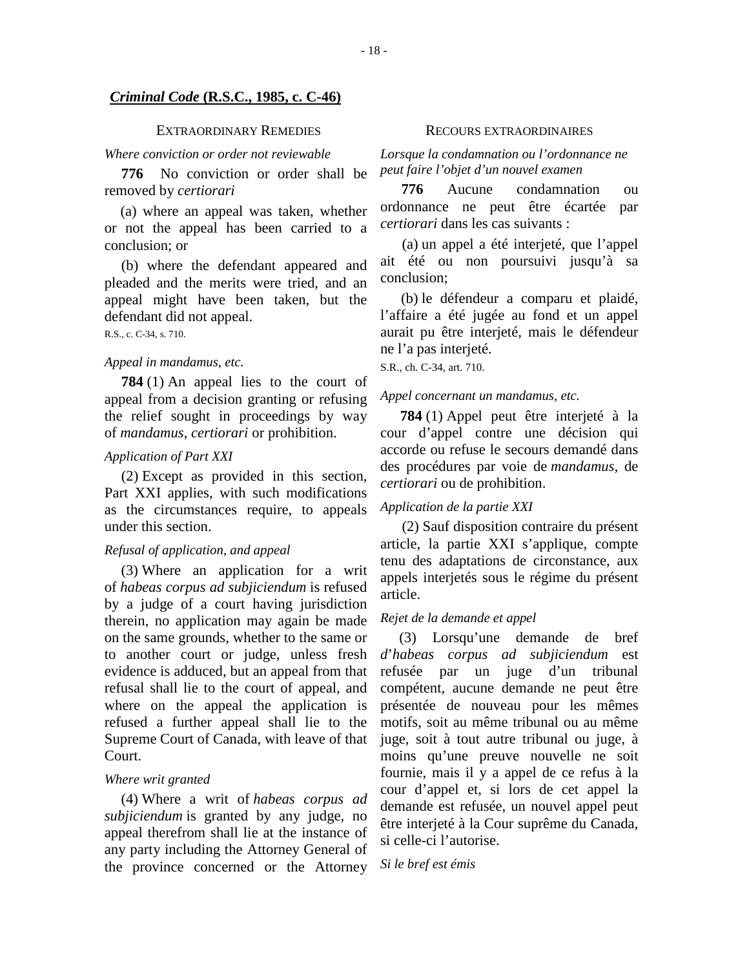#### *Criminal Code* **(R.S.C., 1985, c. C-46)**

#### EXTRAORDINARY REMEDIES

#### *Where conviction or order not reviewable*

**776** No conviction or order shall be removed by *certiorari*

(a) where an appeal was taken, whether or not the appeal has been carried to a conclusion; or

(b) where the defendant appeared and pleaded and the merits were tried, and an appeal might have been taken, but the defendant did not appeal.

R.S., c. C-34, s. 710.

#### *Appeal in mandamus, etc.*

**784** (1) An appeal lies to the court of appeal from a decision granting or refusing the relief sought in proceedings by way of *mandamus*, *certiorari* or prohibition.

#### *Application of Part XXI*

(2) Except as provided in this section, Part XXI applies, with such modifications as the circumstances require, to appeals under this section.

#### *Refusal of application, and appeal*

(3) Where an application for a writ of *habeas corpus ad subjiciendum* is refused by a judge of a court having jurisdiction therein, no application may again be made on the same grounds, whether to the same or to another court or judge, unless fresh evidence is adduced, but an appeal from that refusal shall lie to the court of appeal, and where on the appeal the application is refused a further appeal shall lie to the Supreme Court of Canada, with leave of that Court.

#### *Where writ granted*

(4) Where a writ of *habeas corpus ad subjiciendum* is granted by any judge, no appeal therefrom shall lie at the instance of any party including the Attorney General of the province concerned or the Attorney

#### RECOURS EXTRAORDINAIRES

*Lorsque la condamnation ou l'ordonnance ne peut faire l'objet d'un nouvel examen* 

**776** Aucune condamnation ou ordonnance ne peut être écartée par *certiorari* dans les cas suivants :

(a) un appel a été interjeté, que l'appel ait été ou non poursuivi jusqu'à sa conclusion;

(b) le défendeur a comparu et plaidé, l'affaire a été jugée au fond et un appel aurait pu être interjeté, mais le défendeur ne l'a pas interjeté.

S.R., ch. C-34, art. 710.

#### *Appel concernant un mandamus, etc.*

**784** (1) Appel peut être interjeté à la cour d'appel contre une décision qui accorde ou refuse le secours demandé dans des procédures par voie de *mandamus*, de *certiorari* ou de prohibition.

#### *Application de la partie XXI*

(2) Sauf disposition contraire du présent article, la partie XXI s'applique, compte tenu des adaptations de circonstance, aux appels interjetés sous le régime du présent article.

#### *Rejet de la demande et appel*

(3) Lorsqu'une demande de bref *d*'*habeas corpus ad subjiciendum* est refusée par un juge d'un tribunal compétent, aucune demande ne peut être présentée de nouveau pour les mêmes motifs, soit au même tribunal ou au même juge, soit à tout autre tribunal ou juge, à moins qu'une preuve nouvelle ne soit fournie, mais il y a appel de ce refus à la cour d'appel et, si lors de cet appel la demande est refusée, un nouvel appel peut être interjeté à la Cour suprême du Canada, si celle-ci l'autorise.

*Si le bref est émis*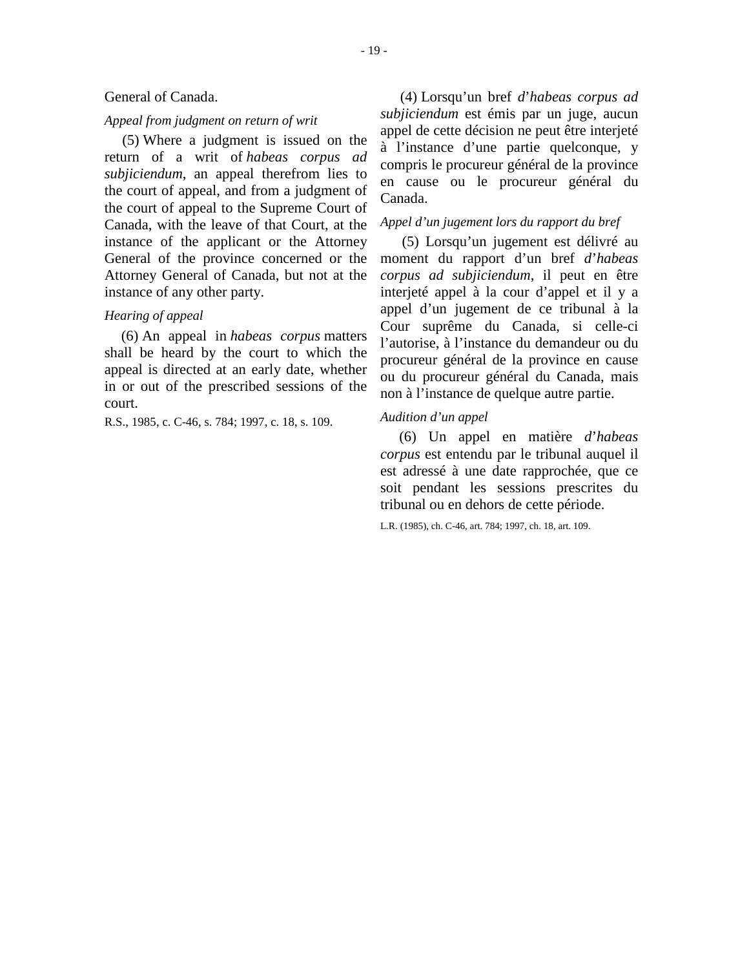#### General of Canada.

## *Appeal from judgment on return of writ*

(5) Where a judgment is issued on the return of a writ of *habeas corpus ad subjiciendum*, an appeal therefrom lies to the court of appeal, and from a judgment of the court of appeal to the Supreme Court of Canada, with the leave of that Court, at the instance of the applicant or the Attorney General of the province concerned or the Attorney General of Canada, but not at the instance of any other party.

#### *Hearing of appeal*

(6) An appeal in *habeas corpus* matters shall be heard by the court to which the appeal is directed at an early date, whether in or out of the prescribed sessions of the court.

R.S., 1985, c. C-46, s. 784; 1997, c. 18, s. 109.

(4) Lorsqu'un bref *d*'*habeas corpus ad subjiciendum* est émis par un juge, aucun appel de cette décision ne peut être interjeté à l'instance d'une partie quelconque, y compris le procureur général de la province en cause ou le procureur général du Canada.

## *Appel d'un jugement lors du rapport du bref*

(5) Lorsqu'un jugement est délivré au moment du rapport d'un bref *d*'*habeas corpus ad subjiciendum*, il peut en être interjeté appel à la cour d'appel et il y a appel d'un jugement de ce tribunal à la Cour suprême du Canada, si celle-ci l'autorise, à l'instance du demandeur ou du procureur général de la province en cause ou du procureur général du Canada, mais non à l'instance de quelque autre partie.

#### *Audition d'un appel*

(6) Un appel en matière *d*'*habeas corpus* est entendu par le tribunal auquel il est adressé à une date rapprochée, que ce soit pendant les sessions prescrites du tribunal ou en dehors de cette période.

L.R. (1985), ch. C-46, art. 784; 1997, ch. 18, art. 109.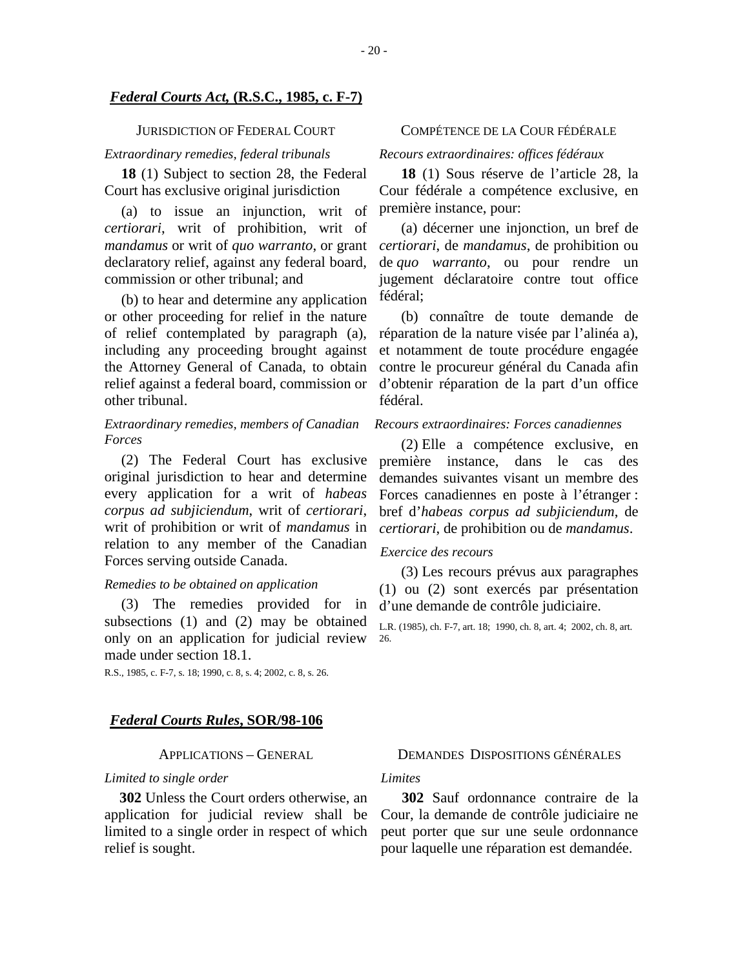#### *Federal Courts Act,* **(R.S.C., 1985, c. F-7)**

#### JURISDICTION OF FEDERAL COURT

### *Extraordinary remedies, federal tribunals*

**18** (1) Subject to section 28, the Federal Court has exclusive original jurisdiction

(a) to issue an injunction, writ of *certiorari*, writ of prohibition, writ of *mandamus* or writ of *quo warranto*, or grant declaratory relief, against any federal board, commission or other tribunal; and

(b) to hear and determine any application or other proceeding for relief in the nature of relief contemplated by paragraph (a), including any proceeding brought against the Attorney General of Canada, to obtain relief against a federal board, commission or other tribunal.

#### *Extraordinary remedies, members of Canadian Forces*

(2) The Federal Court has exclusive original jurisdiction to hear and determine every application for a writ of *habeas corpus ad subjiciendum*, writ of *certiorari*, writ of prohibition or writ of *mandamus* in relation to any member of the Canadian Forces serving outside Canada.

#### *Remedies to be obtained on application*

(3) The remedies provided for in subsections (1) and (2) may be obtained only on an application for judicial review made under section 18.1.

R.S., 1985, c. F-7, s. 18; 1990, c. 8, s. 4; 2002, c. 8, s. 26.

#### *Federal Courts Rules***, SOR/98-106**

#### APPLICATIONS – GENERAL

#### *Limited to single order*

**302** Unless the Court orders otherwise, an application for judicial review shall be limited to a single order in respect of which relief is sought.

#### COMPÉTENCE DE LA COUR FÉDÉRALE

## *Recours extraordinaires: offices fédéraux*

**18** (1) Sous réserve de l'article 28, la Cour fédérale a compétence exclusive, en première instance, pour:

(a) décerner une injonction, un bref de *certiorari*, de *mandamus*, de prohibition ou de *quo warranto*, ou pour rendre un jugement déclaratoire contre tout office fédéral;

(b) connaître de toute demande de réparation de la nature visée par l'alinéa a), et notamment de toute procédure engagée contre le procureur général du Canada afin d'obtenir réparation de la part d'un office fédéral.

### *Recours extraordinaires: Forces canadiennes*

(2) Elle a compétence exclusive, en première instance, dans le cas des demandes suivantes visant un membre des Forces canadiennes en poste à l'étranger : bref d'*habeas corpus ad subjiciendum*, de *certiorari*, de prohibition ou de *mandamus*.

#### *Exercice des recours*

(3) Les recours prévus aux paragraphes (1) ou (2) sont exercés par présentation d'une demande de contrôle judiciaire.

L.R. (1985), ch. F-7, art. 18; 1990, ch. 8, art. 4; 2002, ch. 8, art. 26.

#### DEMANDES DISPOSITIONS GÉNÉRALES

#### *Limites*

**302** Sauf ordonnance contraire de la Cour, la demande de contrôle judiciaire ne peut porter que sur une seule ordonnance pour laquelle une réparation est demandée.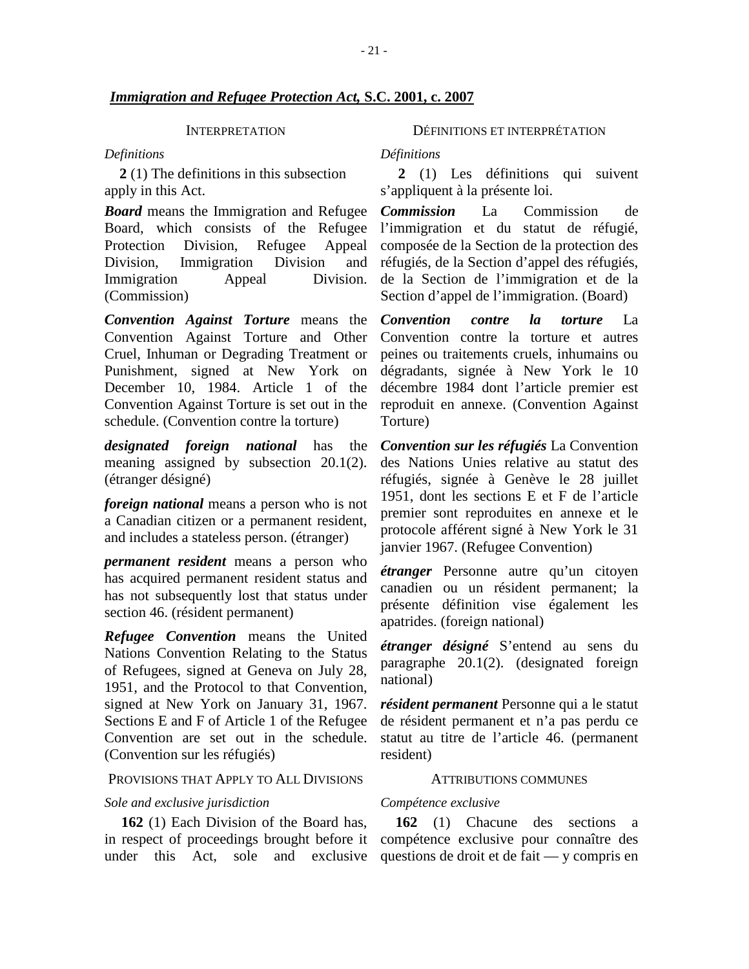#### INTERPRETATION

#### *Definitions*

**2** (1) The definitions in this subsection apply in this Act.

*Board* means the Immigration and Refugee Board, which consists of the Refugee Protection Division, Refugee Appeal Division, Immigration Division and Immigration Appeal Division. (Commission)

*Convention Against Torture* means the Convention Against Torture and Other Cruel, Inhuman or Degrading Treatment or Punishment, signed at New York on December 10, 1984. Article 1 of the Convention Against Torture is set out in the schedule. (Convention contre la torture)

*designated foreign national* has the meaning assigned by subsection 20.1(2). (étranger désigné)

*foreign national* means a person who is not a Canadian citizen or a permanent resident, and includes a stateless person. (étranger)

*permanent resident* means a person who has acquired permanent resident status and has not subsequently lost that status under section 46. (résident permanent)

*Refugee Convention* means the United Nations Convention Relating to the Status of Refugees, signed at Geneva on July 28, 1951, and the Protocol to that Convention, signed at New York on January 31, 1967. Sections E and F of Article 1 of the Refugee Convention are set out in the schedule. (Convention sur les réfugiés)

#### PROVISIONS THAT APPLY TO ALL DIVISIONS

#### *Sole and exclusive jurisdiction*

**162** (1) Each Division of the Board has, in respect of proceedings brought before it compétence exclusive pour connaître des under this Act, sole and exclusive questions de droit et de fait — y compris en

DÉFINITIONS ET INTERPRÉTATION

*Définitions*

**2** (1) Les définitions qui suivent s'appliquent à la présente loi.

*Commission* La Commission de l'immigration et du statut de réfugié, composée de la Section de la protection des réfugiés, de la Section d'appel des réfugiés, de la Section de l'immigration et de la Section d'appel de l'immigration. (Board)

*Convention contre la torture* La Convention contre la torture et autres peines ou traitements cruels, inhumains ou dégradants, signée à New York le 10 décembre 1984 dont l'article premier est reproduit en annexe. (Convention Against Torture)

*Convention sur les réfugiés* La Convention des Nations Unies relative au statut des réfugiés, signée à Genève le 28 juillet 1951, dont les sections E et F de l'article premier sont reproduites en annexe et le protocole afférent signé à New York le 31 janvier 1967. (Refugee Convention)

*étranger* Personne autre qu'un citoyen canadien ou un résident permanent; la présente définition vise également les apatrides. (foreign national)

*étranger désigné* S'entend au sens du paragraphe 20.1(2). (designated foreign national)

*résident permanent* Personne qui a le statut de résident permanent et n'a pas perdu ce statut au titre de l'article 46. (permanent resident)

#### ATTRIBUTIONS COMMUNES

### *Compétence exclusive*

**162** (1) Chacune des sections a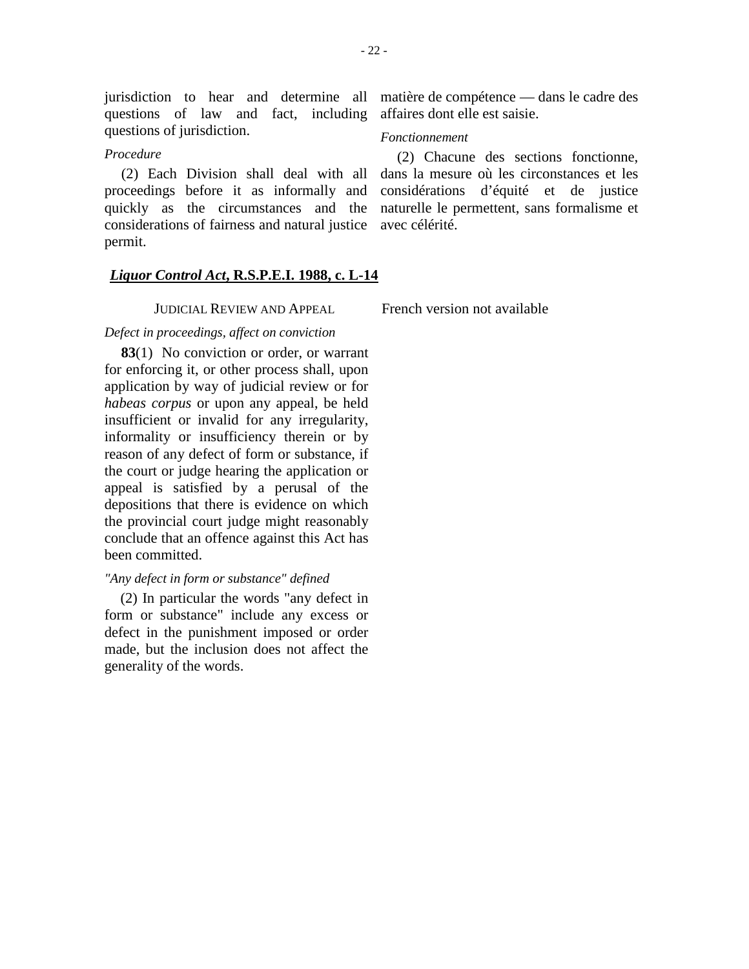## *Procedure*

(2) Each Division shall deal with all proceedings before it as informally and quickly as the circumstances and the considerations of fairness and natural justice avec célérité. permit.

# *Liquor Control Act***, R.S.P.E.I. 1988, c. L-14**

JUDICIAL REVIEW AND APPEAL

*Defect in proceedings, affect on conviction*

**83**(1) No conviction or order, or warrant for enforcing it, or other process shall, upon application by way of judicial review or for *habeas corpus* or upon any appeal, be held insufficient or invalid for any irregularity, informality or insufficiency therein or by reason of any defect of form or substance, if the court or judge hearing the application or appeal is satisfied by a perusal of the depositions that there is evidence on which the provincial court judge might reasonably conclude that an offence against this Act has been committed.

## *"Any defect in form or substance" defined*

(2) In particular the words "any defect in form or substance" include any excess or defect in the punishment imposed or order made, but the inclusion does not affect the generality of the words.

jurisdiction to hear and determine all matière de compétence — dans le cadre des

## *Fonctionnement*

(2) Chacune des sections fonctionne, dans la mesure où les circonstances et les considérations d'équité et de justice naturelle le permettent, sans formalisme et

French version not available